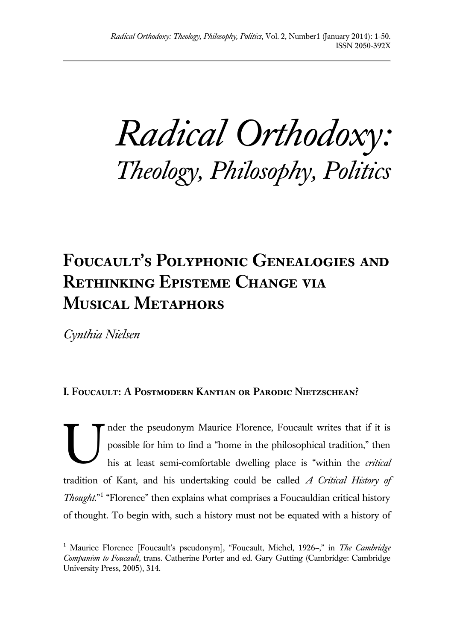*Radical Orthodoxy: Theology, Philosophy, Politics*

# **Foucault's Polyphonic Genealogies and Rethinking Episteme Change via Musical Metaphors**

*Cynthia Nielsen*

l

# **I. Foucault: A Postmodern Kantian or Parodic Nietzschean?**

nder the pseudonym Maurice Florence, Foucault writes that if it is possible for him to find a "home in the philosophical tradition," then his at least semi-comfortable dwelling place is "within the *critical*  tradition of Kant, and his undertaking could be called *A Critical History of Thought*."<sup>1</sup> "Florence" then explains what comprises a Foucauldian critical history of thought. To begin with, such a history must not be equated with a history of U

<sup>&</sup>lt;sup>1</sup> Maurice Florence [Foucault's pseudonym], "Foucault, Michel, 1926–," in *The Cambridge Companion to Foucault*, trans. Catherine Porter and ed. Gary Gutting (Cambridge: Cambridge University Press, 2005), 314.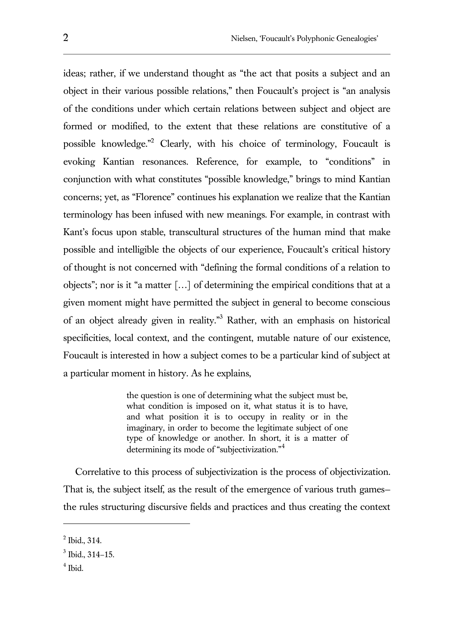ideas; rather, if we understand thought as "the act that posits a subject and an object in their various possible relations," then Foucault's project is "an analysis of the conditions under which certain relations between subject and object are formed or modified, to the extent that these relations are constitutive of a possible knowledge."<sup>2</sup> Clearly, with his choice of terminology, Foucault is evoking Kantian resonances. Reference, for example, to "conditions" in conjunction with what constitutes "possible knowledge," brings to mind Kantian concerns; yet, as "Florence" continues his explanation we realize that the Kantian terminology has been infused with new meanings. For example, in contrast with Kant's focus upon stable, transcultural structures of the human mind that make possible and intelligible the objects of our experience, Foucault's critical history of thought is not concerned with "defining the formal conditions of a relation to objects"; nor is it "a matter […] of determining the empirical conditions that at a given moment might have permitted the subject in general to become conscious of an object already given in reality."<sup>3</sup> Rather, with an emphasis on historical specificities, local context, and the contingent, mutable nature of our existence, Foucault is interested in how a subject comes to be a particular kind of subject at a particular moment in history. As he explains,

> the question is one of determining what the subject must be, what condition is imposed on it, what status it is to have, and what position it is to occupy in reality or in the imaginary, in order to become the legitimate subject of one type of knowledge or another. In short, it is a matter of determining its mode of "subjectivization."<sup>4</sup>

Correlative to this process of subjectivization is the process of objectivization. That is, the subject itself, as the result of the emergence of various truth games the rules structuring discursive fields and practices and thus creating the context

4 Ibid.

 $<sup>2</sup>$  Ibid., 314.</sup>

 $3$  Ibid., 314-15.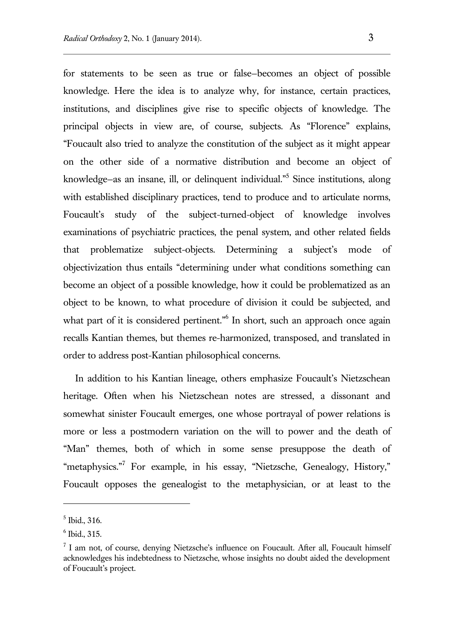for statements to be seen as true or false—becomes an object of possible knowledge. Here the idea is to analyze why, for instance, certain practices, institutions, and disciplines give rise to specific objects of knowledge. The principal objects in view are, of course, subjects. As "Florence" explains, "Foucault also tried to analyze the constitution of the subject as it might appear on the other side of a normative distribution and become an object of knowledge–as an insane, ill, or delinquent individual."<sup>5</sup> Since institutions, along with established disciplinary practices, tend to produce and to articulate norms, Foucault's study of the subject-turned-object of knowledge involves examinations of psychiatric practices, the penal system, and other related fields that problematize subject-objects. Determining a subject's mode of objectivization thus entails "determining under what conditions something can become an object of a possible knowledge, how it could be problematized as an object to be known, to what procedure of division it could be subjected, and what part of it is considered pertinent."<sup>6</sup> In short, such an approach once again recalls Kantian themes, but themes re-harmonized, transposed, and translated in order to address post-Kantian philosophical concerns.

In addition to his Kantian lineage, others emphasize Foucault's Nietzschean heritage. Often when his Nietzschean notes are stressed, a dissonant and somewhat sinister Foucault emerges, one whose portrayal of power relations is more or less a postmodern variation on the will to power and the death of "Man" themes, both of which in some sense presuppose the death of "metaphysics."<sup>7</sup> For example, in his essay, "Nietzsche, Genealogy, History," Foucault opposes the genealogist to the metaphysician, or at least to the

<sup>5</sup> Ibid., 316.

<sup>6</sup> Ibid., 315.

 $<sup>7</sup>$  I am not, of course, denying Nietzsche's influence on Foucault. After all, Foucault himself</sup> acknowledges his indebtedness to Nietzsche, whose insights no doubt aided the development of Foucault's project.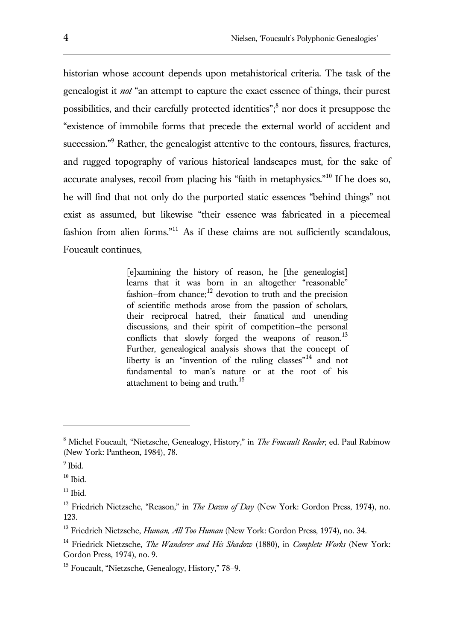historian whose account depends upon metahistorical criteria. The task of the genealogist it *not* "an attempt to capture the exact essence of things, their purest possibilities, and their carefully protected identities";<sup>8</sup> nor does it presuppose the "existence of immobile forms that precede the external world of accident and succession."<sup>9</sup> Rather, the genealogist attentive to the contours, fissures, fractures, and rugged topography of various historical landscapes must, for the sake of accurate analyses, recoil from placing his "faith in metaphysics."<sup>10</sup> If he does so, he will find that not only do the purported static essences "behind things" not exist as assumed, but likewise "their essence was fabricated in a piecemeal fashion from alien forms."<sup>11</sup> As if these claims are not sufficiently scandalous, Foucault continues,

> [e]xamining the history of reason, he [the genealogist] learns that it was born in an altogether "reasonable" fashion–from chance; $^{12}$  devotion to truth and the precision of scientific methods arose from the passion of scholars, their reciprocal hatred, their fanatical and unending discussions, and their spirit of competition—the personal conflicts that slowly forged the weapons of reason.<sup>13</sup> Further, genealogical analysis shows that the concept of liberty is an "invention of the ruling classes"<sup>14</sup> and not fundamental to man's nature or at the root of his attachment to being and truth.<sup>15</sup>

l

<sup>8</sup> Michel Foucault, "Nietzsche, Genealogy, History," in *The Foucault Reader*, ed. Paul Rabinow (New York: Pantheon, 1984), 78.

<sup>&</sup>lt;sup>9</sup> Ibid.

 $10$  Ibid.

 $11$  Ibid.

<sup>12</sup> Friedrich Nietzsche, "Reason," in *The Dawn of Day* (New York: Gordon Press, 1974), no. 123.

<sup>13</sup> Friedrich Nietzsche, *Human, All Too Human* (New York: Gordon Press, 1974), no. 34.

<sup>14</sup> Friedrick Nietzsche, *The Wanderer and His Shadow* (1880), in *Complete Works* (New York: Gordon Press, 1974), no. 9.

<sup>15</sup> Foucault, "Nietzsche, Genealogy, History," 78–9.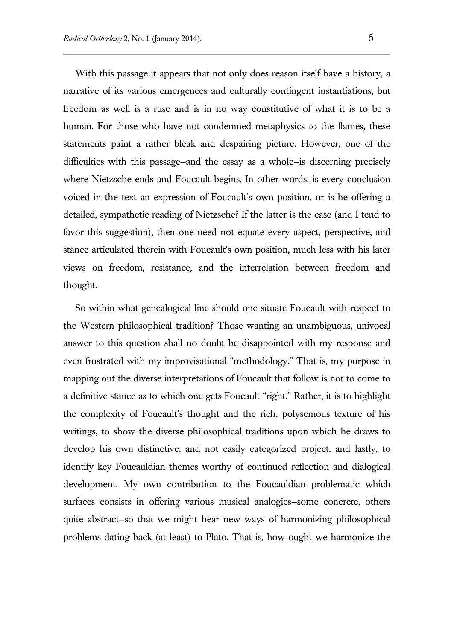With this passage it appears that not only does reason itself have a history, a narrative of its various emergences and culturally contingent instantiations, but freedom as well is a ruse and is in no way constitutive of what it is to be a human. For those who have not condemned metaphysics to the flames, these statements paint a rather bleak and despairing picture. However, one of the difficulties with this passage—and the essay as a whole—is discerning precisely where Nietzsche ends and Foucault begins. In other words, is every conclusion voiced in the text an expression of Foucault's own position, or is he offering a detailed, sympathetic reading of Nietzsche? If the latter is the case (and I tend to favor this suggestion), then one need not equate every aspect, perspective, and stance articulated therein with Foucault's own position, much less with his later views on freedom, resistance, and the interrelation between freedom and thought.

So within what genealogical line should one situate Foucault with respect to the Western philosophical tradition? Those wanting an unambiguous, univocal answer to this question shall no doubt be disappointed with my response and even frustrated with my improvisational "methodology." That is, my purpose in mapping out the diverse interpretations of Foucault that follow is not to come to a definitive stance as to which one gets Foucault "right." Rather, it is to highlight the complexity of Foucault's thought and the rich, polysemous texture of his writings, to show the diverse philosophical traditions upon which he draws to develop his own distinctive, and not easily categorized project, and lastly, to identify key Foucauldian themes worthy of continued reflection and dialogical development. My own contribution to the Foucauldian problematic which surfaces consists in offering various musical analogies—some concrete, others quite abstract—so that we might hear new ways of harmonizing philosophical problems dating back (at least) to Plato. That is, how ought we harmonize the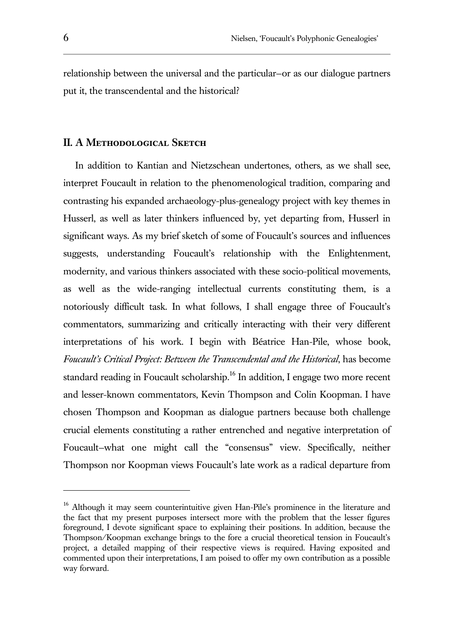relationship between the universal and the particular—or as our dialogue partners put it, the transcendental and the historical?

#### **II. A Methodological Sketch**

In addition to Kantian and Nietzschean undertones, others, as we shall see, interpret Foucault in relation to the phenomenological tradition, comparing and contrasting his expanded archaeology-plus-genealogy project with key themes in Husserl, as well as later thinkers influenced by, yet departing from, Husserl in significant ways. As my brief sketch of some of Foucault's sources and influences suggests, understanding Foucault's relationship with the Enlightenment, modernity, and various thinkers associated with these socio-political movements, as well as the wide-ranging intellectual currents constituting them, is a notoriously difficult task. In what follows, I shall engage three of Foucault's commentators, summarizing and critically interacting with their very different interpretations of his work. I begin with Béatrice Han-Pile, whose book, *Foucault's Critical Project: Between the Transcendental and the Historical*, has become standard reading in Foucault scholarship.<sup>16</sup> In addition, I engage two more recent and lesser-known commentators, Kevin Thompson and Colin Koopman. I have chosen Thompson and Koopman as dialogue partners because both challenge crucial elements constituting a rather entrenched and negative interpretation of Foucault—what one might call the "consensus" view. Specifically, neither Thompson nor Koopman views Foucault's late work as a radical departure from

l

<sup>&</sup>lt;sup>16</sup> Although it may seem counterintuitive given Han-Pile's prominence in the literature and the fact that my present purposes intersect more with the problem that the lesser figures foreground, I devote significant space to explaining their positions. In addition, because the Thompson/Koopman exchange brings to the fore a crucial theoretical tension in Foucault's project, a detailed mapping of their respective views is required. Having exposited and commented upon their interpretations, I am poised to offer my own contribution as a possible way forward.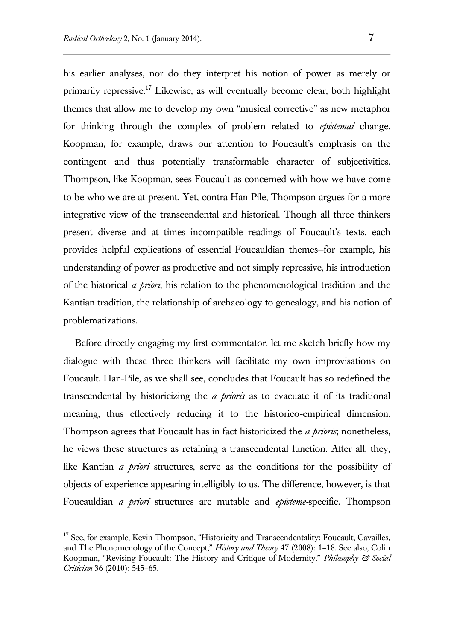l

his earlier analyses, nor do they interpret his notion of power as merely or primarily repressive.<sup>17</sup> Likewise, as will eventually become clear, both highlight themes that allow me to develop my own "musical corrective" as new metaphor for thinking through the complex of problem related to *epistemai* change. Koopman, for example, draws our attention to Foucault's emphasis on the contingent and thus potentially transformable character of subjectivities. Thompson, like Koopman, sees Foucault as concerned with how we have come to be who we are at present. Yet, contra Han-Pile, Thompson argues for a more integrative view of the transcendental and historical. Though all three thinkers

present diverse and at times incompatible readings of Foucault's texts, each provides helpful explications of essential Foucauldian themes—for example, his understanding of power as productive and not simply repressive, his introduction of the historical *a priori*, his relation to the phenomenological tradition and the Kantian tradition, the relationship of archaeology to genealogy, and his notion of problematizations.

Before directly engaging my first commentator, let me sketch briefly how my dialogue with these three thinkers will facilitate my own improvisations on Foucault. Han-Pile, as we shall see, concludes that Foucault has so redefined the transcendental by historicizing the *a prioris* as to evacuate it of its traditional meaning, thus effectively reducing it to the historico-empirical dimension. Thompson agrees that Foucault has in fact historicized the *a prioris*; nonetheless, he views these structures as retaining a transcendental function. After all, they, like Kantian *a priori* structures, serve as the conditions for the possibility of objects of experience appearing intelligibly to us. The difference, however, is that Foucauldian *a priori* structures are mutable and *episteme-*specific. Thompson

<sup>&</sup>lt;sup>17</sup> See, for example, Kevin Thompson, "Historicity and Transcendentality: Foucault, Cavailles, and The Phenomenology of the Concept," *History and Theory* 47 (2008): 1–18. See also, Colin Koopman, "Revising Foucault: The History and Critique of Modernity," *Philosophy & Social Criticism* 36 (2010): 545–65.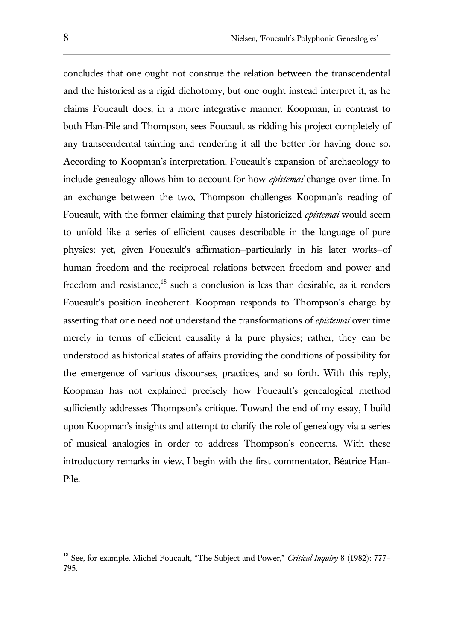concludes that one ought not construe the relation between the transcendental and the historical as a rigid dichotomy, but one ought instead interpret it, as he claims Foucault does, in a more integrative manner. Koopman, in contrast to both Han-Pile and Thompson, sees Foucault as ridding his project completely of any transcendental tainting and rendering it all the better for having done so. According to Koopman's interpretation, Foucault's expansion of archaeology to include genealogy allows him to account for how *epistemai* change over time. In an exchange between the two, Thompson challenges Koopman's reading of Foucault, with the former claiming that purely historicized *epistemai* would seem to unfold like a series of efficient causes describable in the language of pure physics; yet, given Foucault's affirmation—particularly in his later works—of human freedom and the reciprocal relations between freedom and power and freedom and resistance,<sup>18</sup> such a conclusion is less than desirable, as it renders Foucault's position incoherent. Koopman responds to Thompson's charge by asserting that one need not understand the transformations of *epistemai* over time merely in terms of efficient causality à la pure physics; rather, they can be understood as historical states of affairs providing the conditions of possibility for the emergence of various discourses, practices, and so forth. With this reply, Koopman has not explained precisely how Foucault's genealogical method sufficiently addresses Thompson's critique. Toward the end of my essay, I build upon Koopman's insights and attempt to clarify the role of genealogy via a series of musical analogies in order to address Thompson's concerns. With these introductory remarks in view, I begin with the first commentator, Béatrice Han-Pile.

l

<sup>18</sup> See, for example, Michel Foucault, "The Subject and Power," *Critical Inquiry* 8 (1982): 777– 795.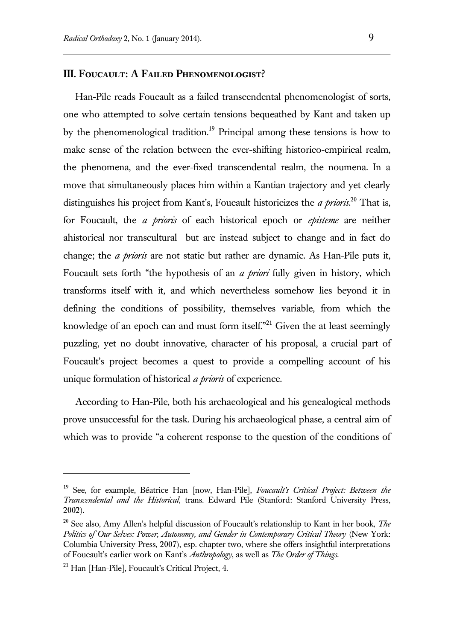#### **III. Foucault: A Failed Phenomenologist?**

Han-Pile reads Foucault as a failed transcendental phenomenologist of sorts, one who attempted to solve certain tensions bequeathed by Kant and taken up by the phenomenological tradition.<sup>19</sup> Principal among these tensions is how to make sense of the relation between the ever-shifting historico-empirical realm, the phenomena, and the ever-fixed transcendental realm, the noumena. In a move that simultaneously places him within a Kantian trajectory and yet clearly distinguishes his project from Kant's, Foucault historicizes the *a prioris*. <sup>20</sup> That is, for Foucault, the *a prioris* of each historical epoch or *episteme* are neither ahistorical nor transcultural but are instead subject to change and in fact do change; the *a prioris* are not static but rather are dynamic. As Han-Pile puts it, Foucault sets forth "the hypothesis of an *a priori* fully given in history, which transforms itself with it, and which nevertheless somehow lies beyond it in defining the conditions of possibility, themselves variable, from which the knowledge of an epoch can and must form itself."<sup>21</sup> Given the at least seemingly puzzling, yet no doubt innovative, character of his proposal, a crucial part of Foucault's project becomes a quest to provide a compelling account of his unique formulation of historical *a prioris* of experience.

According to Han-Pile, both his archaeological and his genealogical methods prove unsuccessful for the task. During his archaeological phase, a central aim of which was to provide "a coherent response to the question of the conditions of

<sup>19</sup> See, for example, Béatrice Han [now, Han-Pile], *Foucault's Critical Project: Between the Transcendental and the Historical*, trans. Edward Pile (Stanford: Stanford University Press, 2002).

<sup>20</sup> See also, Amy Allen's helpful discussion of Foucault's relationship to Kant in her book, *The Politics of Our Selves: Power, Autonomy, and Gender in Contemporary Critical Theory* (New York: Columbia University Press, 2007), esp. chapter two, where she offers insightful interpretations of Foucault's earlier work on Kant's *Anthropology*, as well as *The Order of Things*.

<sup>21</sup> Han [Han-Pile], Foucault's Critical Project, 4.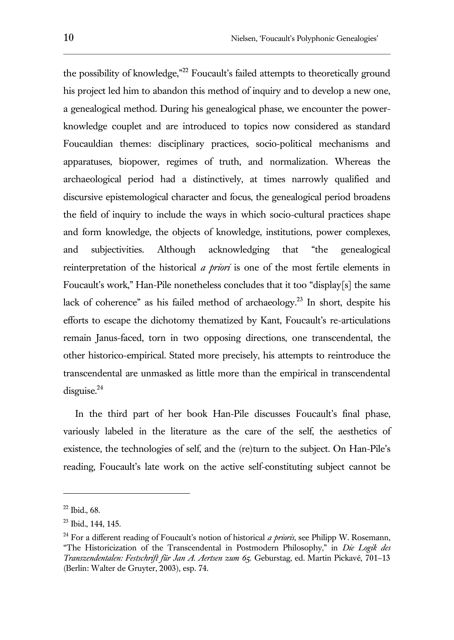the possibility of knowledge,"<sup>22</sup> Foucault's failed attempts to theoretically ground his project led him to abandon this method of inquiry and to develop a new one, a genealogical method. During his genealogical phase, we encounter the powerknowledge couplet and are introduced to topics now considered as standard Foucauldian themes: disciplinary practices, socio-political mechanisms and apparatuses, biopower, regimes of truth, and normalization. Whereas the archaeological period had a distinctively, at times narrowly qualified and discursive epistemological character and focus, the genealogical period broadens the field of inquiry to include the ways in which socio-cultural practices shape and form knowledge, the objects of knowledge, institutions, power complexes, and subjectivities. Although acknowledging that "the genealogical reinterpretation of the historical *a priori* is one of the most fertile elements in Foucault's work," Han-Pile nonetheless concludes that it too "display[s] the same lack of coherence" as his failed method of archaeology.<sup>23</sup> In short, despite his efforts to escape the dichotomy thematized by Kant, Foucault's re-articulations remain Janus-faced, torn in two opposing directions, one transcendental, the other historico-empirical. Stated more precisely, his attempts to reintroduce the transcendental are unmasked as little more than the empirical in transcendental  $disguise.<sup>24</sup>$ 

In the third part of her book Han-Pile discusses Foucault's final phase, variously labeled in the literature as the care of the self, the aesthetics of existence, the technologies of self, and the (re)turn to the subject. On Han-Pile's reading, Foucault's late work on the active self-constituting subject cannot be

<sup>22</sup> Ibid., 68.

<sup>23</sup> Ibid., 144, 145.

<sup>24</sup> For a different reading of Foucault's notion of historical *a prioris*, see Philipp W. Rosemann, "The Historicization of the Transcendental in Postmodern Philosophy," in *Die Logik des Transzendentalen: Festschrift für Jan A. Aertsen zum 65.* Geburstag, ed. Martin Pickavé, 701–13 (Berlin: Walter de Gruyter, 2003), esp. 74.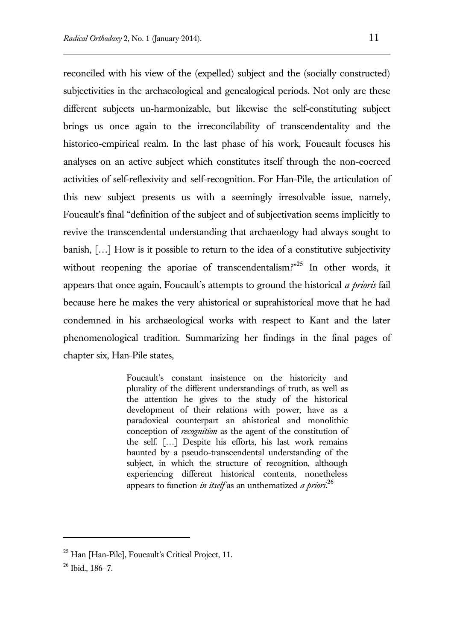reconciled with his view of the (expelled) subject and the (socially constructed) subjectivities in the archaeological and genealogical periods. Not only are these different subjects un-harmonizable, but likewise the self-constituting subject brings us once again to the irreconcilability of transcendentality and the historico-empirical realm. In the last phase of his work, Foucault focuses his analyses on an active subject which constitutes itself through the non-coerced activities of self-reflexivity and self-recognition. For Han-Pile, the articulation of this new subject presents us with a seemingly irresolvable issue, namely, Foucault's final "definition of the subject and of subjectivation seems implicitly to revive the transcendental understanding that archaeology had always sought to banish, […] How is it possible to return to the idea of a constitutive subjectivity without reopening the aporiae of transcendentalism?"<sup>25</sup> In other words, it appears that once again, Foucault's attempts to ground the historical *a prioris* fail because here he makes the very ahistorical or suprahistorical move that he had condemned in his archaeological works with respect to Kant and the later phenomenological tradition. Summarizing her findings in the final pages of chapter six, Han-Pile states,

> Foucault's constant insistence on the historicity and plurality of the different understandings of truth, as well as the attention he gives to the study of the historical development of their relations with power, have as a paradoxical counterpart an ahistorical and monolithic conception of *recognition* as the agent of the constitution of the self. […] Despite his efforts, his last work remains haunted by a pseudo-transcendental understanding of the subject, in which the structure of recognition, although experiencing different historical contents, nonetheless appears to function *in itself* as an unthematized *a priori*. 26

<sup>&</sup>lt;sup>25</sup> Han [Han-Pile], Foucault's Critical Project, 11.

 $26$  Ibid., 186-7.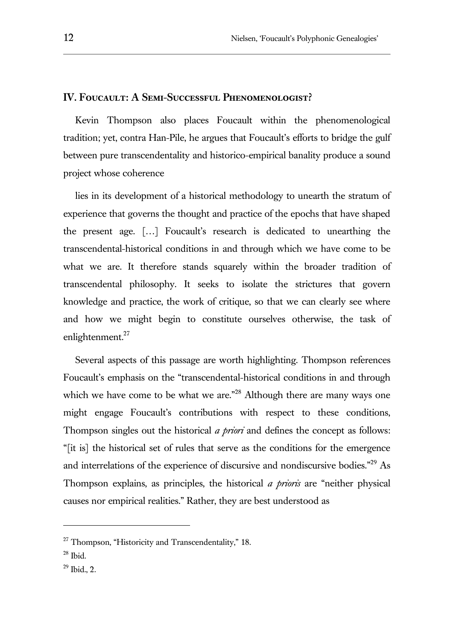## **IV. Foucault: A Semi-Successful Phenomenologist?**

Kevin Thompson also places Foucault within the phenomenological tradition; yet, contra Han-Pile, he argues that Foucault's efforts to bridge the gulf between pure transcendentality and historico-empirical banality produce a sound project whose coherence

lies in its development of a historical methodology to unearth the stratum of experience that governs the thought and practice of the epochs that have shaped the present age. […] Foucault's research is dedicated to unearthing the transcendental-historical conditions in and through which we have come to be what we are. It therefore stands squarely within the broader tradition of transcendental philosophy. It seeks to isolate the strictures that govern knowledge and practice, the work of critique, so that we can clearly see where and how we might begin to constitute ourselves otherwise, the task of enlightenment.<sup>27</sup>

Several aspects of this passage are worth highlighting. Thompson references Foucault's emphasis on the "transcendental-historical conditions in and through which we have come to be what we are."<sup>28</sup> Although there are many ways one might engage Foucault's contributions with respect to these conditions, Thompson singles out the historical *a priori* and defines the concept as follows: "[it is] the historical set of rules that serve as the conditions for the emergence and interrelations of the experience of discursive and nondiscursive bodies."<sup>29</sup> As Thompson explains, as principles, the historical *a prioris* are "neither physical causes nor empirical realities." Rather, they are best understood as

<sup>&</sup>lt;sup>27</sup> Thompson, "Historicity and Transcendentality," 18.

 $^{\rm 28}$  Ibid.

 $29$  Ibid., 2.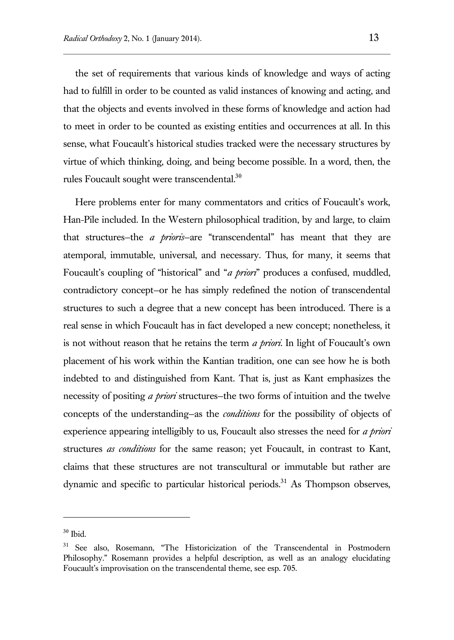the set of requirements that various kinds of knowledge and ways of acting had to fulfill in order to be counted as valid instances of knowing and acting, and that the objects and events involved in these forms of knowledge and action had to meet in order to be counted as existing entities and occurrences at all. In this sense, what Foucault's historical studies tracked were the necessary structures by virtue of which thinking, doing, and being become possible. In a word, then, the rules Foucault sought were transcendental.<sup>30</sup>

Here problems enter for many commentators and critics of Foucault's work, Han-Pile included. In the Western philosophical tradition, by and large, to claim that structures—the *a prioris*—are "transcendental" has meant that they are atemporal, immutable, universal, and necessary. Thus, for many, it seems that Foucault's coupling of "historical" and "*a priori*" produces a confused, muddled, contradictory concept—or he has simply redefined the notion of transcendental structures to such a degree that a new concept has been introduced. There is a real sense in which Foucault has in fact developed a new concept; nonetheless, it is not without reason that he retains the term *a priori*. In light of Foucault's own placement of his work within the Kantian tradition, one can see how he is both indebted to and distinguished from Kant. That is, just as Kant emphasizes the necessity of positing *a priori* structures—the two forms of intuition and the twelve concepts of the understanding—as the *conditions* for the possibility of objects of experience appearing intelligibly to us, Foucault also stresses the need for *a priori*  structures *as conditions* for the same reason; yet Foucault, in contrast to Kant, claims that these structures are not transcultural or immutable but rather are dynamic and specific to particular historical periods.<sup>31</sup> As Thompson observes,

 $30$  Ibid.

<sup>&</sup>lt;sup>31</sup> See also, Rosemann, "The Historicization of the Transcendental in Postmodern Philosophy." Rosemann provides a helpful description, as well as an analogy elucidating Foucault's improvisation on the transcendental theme, see esp. 705.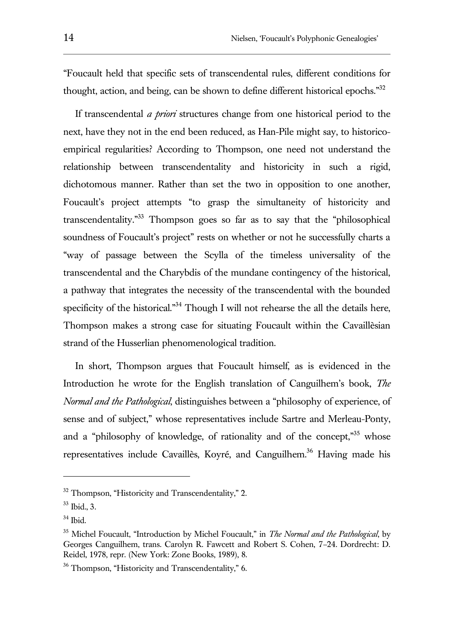"Foucault held that specific sets of transcendental rules, different conditions for thought, action, and being, can be shown to define different historical epochs."<sup>32</sup>

If transcendental *a priori* structures change from one historical period to the next, have they not in the end been reduced, as Han-Pile might say, to historicoempirical regularities? According to Thompson, one need not understand the relationship between transcendentality and historicity in such a rigid, dichotomous manner. Rather than set the two in opposition to one another, Foucault's project attempts "to grasp the simultaneity of historicity and transcendentality."<sup>33</sup> Thompson goes so far as to say that the "philosophical soundness of Foucault's project" rests on whether or not he successfully charts a "way of passage between the Scylla of the timeless universality of the transcendental and the Charybdis of the mundane contingency of the historical, a pathway that integrates the necessity of the transcendental with the bounded specificity of the historical. $n^{34}$  Though I will not rehearse the all the details here, Thompson makes a strong case for situating Foucault within the Cavaillèsian strand of the Husserlian phenomenological tradition.

In short, Thompson argues that Foucault himself, as is evidenced in the Introduction he wrote for the English translation of Canguilhem's book, *The Normal and the Pathological*, distinguishes between a "philosophy of experience, of sense and of subject," whose representatives include Sartre and Merleau-Ponty, and a "philosophy of knowledge, of rationality and of the concept,"<sup>35</sup> whose representatives include Cavaillès, Koyré, and Canguilhem.<sup>36</sup> Having made his

l

<sup>&</sup>lt;sup>32</sup> Thompson, "Historicity and Transcendentality," 2.

<sup>33</sup> Ibid., 3.

 $34$  Ibid.

<sup>35</sup> Michel Foucault, "Introduction by Michel Foucault," in *The Normal and the Pathological*, by Georges Canguilhem, trans. Carolyn R. Fawcett and Robert S. Cohen, 7–24. Dordrecht: D. Reidel, 1978, repr. (New York: Zone Books, 1989), 8.

<sup>&</sup>lt;sup>36</sup> Thompson, "Historicity and Transcendentality," 6.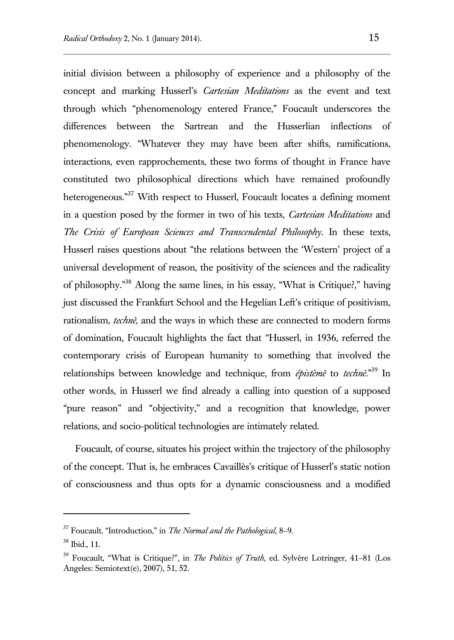initial division between a philosophy of experience and a philosophy of the concept and marking Husserl's *Cartesian Meditations* as the event and text through which "phenomenology entered France," Foucault underscores the differences between the Sartrean and the Husserlian inflections of phenomenology. "Whatever they may have been after shifts, ramifications, interactions, even rapprochements, these two forms of thought in France have constituted two philosophical directions which have remained profoundly heterogeneous."<sup>37</sup> With respect to Husserl, Foucault locates a defining moment in a question posed by the former in two of his texts, *Cartesian Meditations* and *The Crisis of European Sciences and Transcendental Philosophy*. In these texts, Husserl raises questions about "the relations between the 'Western' project of a universal development of reason, the positivity of the sciences and the radicality of philosophy."<sup>38</sup> Along the same lines, in his essay, "What is Critique?," having just discussed the Frankfurt School and the Hegelian Left's critique of positivism, rationalism, *technè,* and the ways in which these are connected to modern forms of domination, Foucault highlights the fact that "Husserl, in 1936, referred the contemporary crisis of European humanity to something that involved the relationships between knowledge and technique, from *épistèmè* to *technè*."<sup>39</sup> In other words, in Husserl we find already a calling into question of a supposed "pure reason" and "objectivity," and a recognition that knowledge, power relations, and socio-political technologies are intimately related.

Foucault, of course, situates his project within the trajectory of the philosophy of the concept. That is, he embraces Cavaillès's critique of Husserl's static notion of consciousness and thus opts for a dynamic consciousness and a modified

l

<sup>37</sup> Foucault, "Introduction," in *The Normal and the Pathological*, 8–9.

<sup>38</sup> Ibid., 11.

<sup>39</sup> Foucault, "What is Critique?", in *The Politics of Truth*, ed. Sylvère Lotringer, 41–81 (Los Angeles: Semiotext(e), 2007), 51, 52.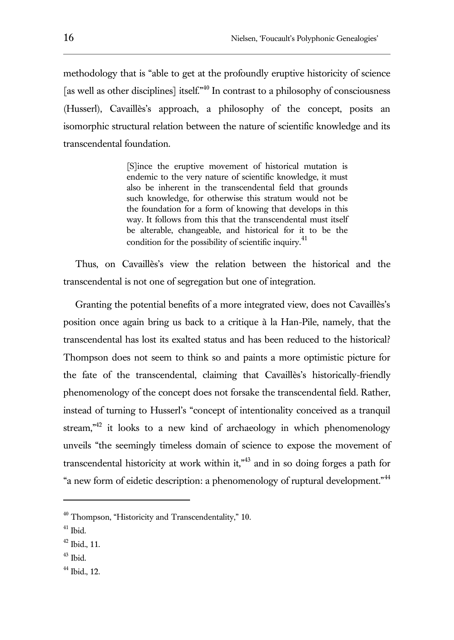methodology that is "able to get at the profoundly eruptive historicity of science [as well as other disciplines] itself.<sup>"40</sup> In contrast to a philosophy of consciousness (Husserl), Cavaillès's approach, a philosophy of the concept, posits an isomorphic structural relation between the nature of scientific knowledge and its transcendental foundation.

> [S]ince the eruptive movement of historical mutation is endemic to the very nature of scientific knowledge, it must also be inherent in the transcendental field that grounds such knowledge, for otherwise this stratum would not be the foundation for a form of knowing that develops in this way. It follows from this that the transcendental must itself be alterable, changeable, and historical for it to be the condition for the possibility of scientific inquiry. $41$

Thus, on Cavaillès's view the relation between the historical and the transcendental is not one of segregation but one of integration.

Granting the potential benefits of a more integrated view, does not Cavaillès's position once again bring us back to a critique à la Han-Pile, namely, that the transcendental has lost its exalted status and has been reduced to the historical? Thompson does not seem to think so and paints a more optimistic picture for the fate of the transcendental, claiming that Cavaillès's historically-friendly phenomenology of the concept does not forsake the transcendental field. Rather, instead of turning to Husserl's "concept of intentionality conceived as a tranquil stream,<sup> $n^{42}$ </sup> it looks to a new kind of archaeology in which phenomenology unveils "the seemingly timeless domain of science to expose the movement of transcendental historicity at work within it,<sup> $n43$ </sup> and in so doing forges a path for "a new form of eidetic description: a phenomenology of ruptural development."<sup>44</sup>

<sup>&</sup>lt;sup>40</sup> Thompson, "Historicity and Transcendentality," 10.

 $41$  Ibid.

 $42$  Ibid., 11.

<sup>43</sup> Ibid.

<sup>44</sup> Ibid., 12.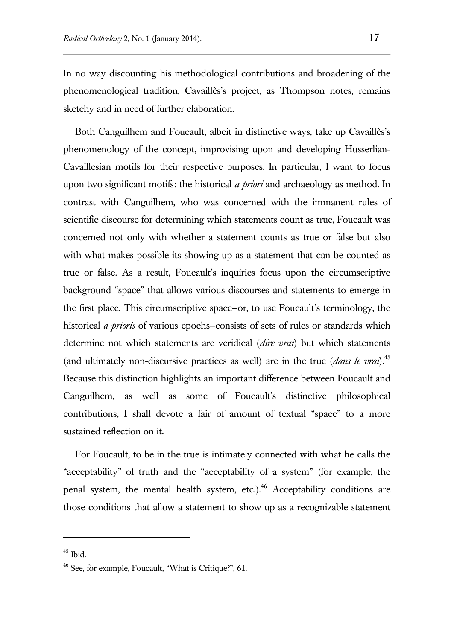In no way discounting his methodological contributions and broadening of the phenomenological tradition, Cavaillès's project, as Thompson notes, remains sketchy and in need of further elaboration.

Both Canguilhem and Foucault, albeit in distinctive ways, take up Cavaillès's phenomenology of the concept, improvising upon and developing Husserlian-Cavaillesian motifs for their respective purposes. In particular, I want to focus upon two significant motifs: the historical *a priori* and archaeology as method. In contrast with Canguilhem, who was concerned with the immanent rules of scientific discourse for determining which statements count as true, Foucault was concerned not only with whether a statement counts as true or false but also with what makes possible its showing up as a statement that can be counted as true or false. As a result, Foucault's inquiries focus upon the circumscriptive background "space" that allows various discourses and statements to emerge in the first place. This circumscriptive space—or, to use Foucault's terminology, the historical *a prioris* of various epochs—consists of sets of rules or standards which determine not which statements are veridical (*dire vrai*) but which statements (and ultimately non-discursive practices as well) are in the true (*dans le vrai*).<sup>45</sup> Because this distinction highlights an important difference between Foucault and Canguilhem, as well as some of Foucault's distinctive philosophical contributions, I shall devote a fair of amount of textual "space" to a more sustained reflection on it.

For Foucault, to be in the true is intimately connected with what he calls the "acceptability" of truth and the "acceptability of a system" (for example, the penal system, the mental health system, etc.). $46$  Acceptability conditions are those conditions that allow a statement to show up as a recognizable statement

 $45$  Ibid.

<sup>46</sup> See, for example, Foucault, "What is Critique?", 61.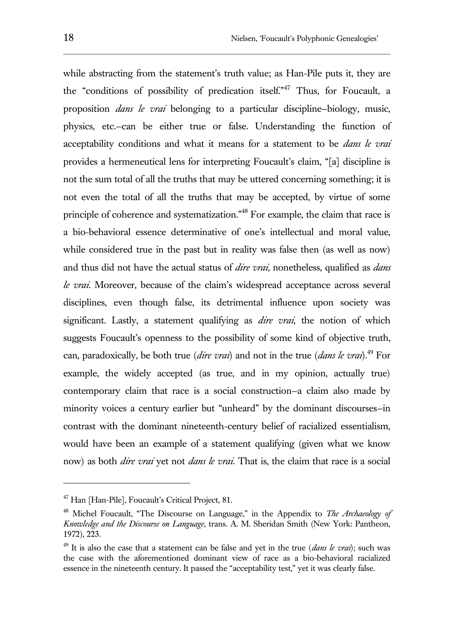while abstracting from the statement's truth value; as Han-Pile puts it, they are the "conditions of possibility of predication itself."<sup>47</sup> Thus, for Foucault, a proposition *dans le vrai* belonging to a particular discipline—biology, music, physics, etc.—can be either true or false. Understanding the function of acceptability conditions and what it means for a statement to be *dans le vrai* provides a hermeneutical lens for interpreting Foucault's claim, "[a] discipline is not the sum total of all the truths that may be uttered concerning something; it is not even the total of all the truths that may be accepted, by virtue of some principle of coherence and systematization."<sup>48</sup> For example, the claim that race is a bio-behavioral essence determinative of one's intellectual and moral value, while considered true in the past but in reality was false then (as well as now) and thus did not have the actual status of *dire vrai*, nonetheless, qualified as *dans le vrai*. Moreover, because of the claim's widespread acceptance across several disciplines, even though false, its detrimental influence upon society was significant. Lastly, a statement qualifying as *dire vrai*, the notion of which suggests Foucault's openness to the possibility of some kind of objective truth, can, paradoxically, be both true (*dire vrai*) and not in the true (*dans le vrai*).<sup>49</sup> For example, the widely accepted (as true, and in my opinion, actually true) contemporary claim that race is a social construction—a claim also made by minority voices a century earlier but "unheard" by the dominant discourses—in contrast with the dominant nineteenth-century belief of racialized essentialism, would have been an example of a statement qualifying (given what we know now) as both *dire vrai* yet not *dans le vrai.* That is, the claim that race is a social

<sup>47</sup> Han [Han-Pile], Foucault's Critical Project, 81.

<sup>48</sup> Michel Foucault, "The Discourse on Language," in the Appendix to *The Archaeology of Knowledge and the Discourse on Language*, trans. A. M. Sheridan Smith (New York: Pantheon, 1972), 223.

 $49$  It is also the case that a statement can be false and yet in the true *(dans le vrai*); such was the case with the aforementioned dominant view of race as a bio-behavioral racialized essence in the nineteenth century. It passed the "acceptability test," yet it was clearly false.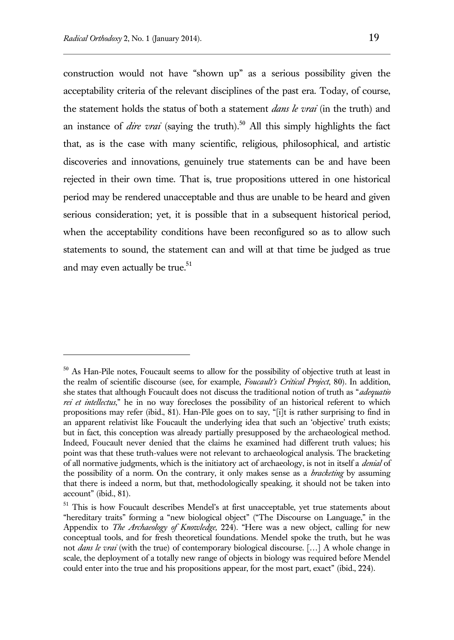$\overline{a}$ 

construction would not have "shown up" as a serious possibility given the acceptability criteria of the relevant disciplines of the past era. Today, of course, the statement holds the status of both a statement *dans le vrai* (in the truth) and an instance of *dire vrai* (saying the truth).<sup>50</sup> All this simply highlights the fact that, as is the case with many scientific, religious, philosophical, and artistic discoveries and innovations, genuinely true statements can be and have been rejected in their own time. That is, true propositions uttered in one historical period may be rendered unacceptable and thus are unable to be heard and given serious consideration; yet, it is possible that in a subsequent historical period, when the acceptability conditions have been reconfigured so as to allow such statements to sound, the statement can and will at that time be judged as true and may even actually be true.<sup>51</sup>

<sup>&</sup>lt;sup>50</sup> As Han-Pile notes, Foucault seems to allow for the possibility of objective truth at least in the realm of scientific discourse (see, for example, *Foucault's Critical Project*, 80). In addition, she states that although Foucault does not discuss the traditional notion of truth as "*adequatio rei et intellectus*," he in no way forecloses the possibility of an historical referent to which propositions may refer (ibid., 81). Han-Pile goes on to say, "[i]t is rather surprising to find in an apparent relativist like Foucault the underlying idea that such an 'objective' truth exists; but in fact, this conception was already partially presupposed by the archaeological method. Indeed, Foucault never denied that the claims he examined had different truth values; his point was that these truth-values were not relevant to archaeological analysis. The bracketing of all normative judgments, which is the initiatory act of archaeology, is not in itself a *denial* of the possibility of a norm. On the contrary, it only makes sense as a *bracketing* by assuming that there is indeed a norm, but that, methodologically speaking, it should not be taken into account" (ibid., 81).

<sup>51</sup> This is how Foucault describes Mendel's at first unacceptable, yet true statements about "hereditary traits" forming a "new biological object" ("The Discourse on Language," in the Appendix to *The Archaeology of Knowledge,* 224). "Here was a new object, calling for new conceptual tools, and for fresh theoretical foundations. Mendel spoke the truth, but he was not *dans le vrai* (with the true) of contemporary biological discourse. […] A whole change in scale, the deployment of a totally new range of objects in biology was required before Mendel could enter into the true and his propositions appear, for the most part, exact" (ibid., 224).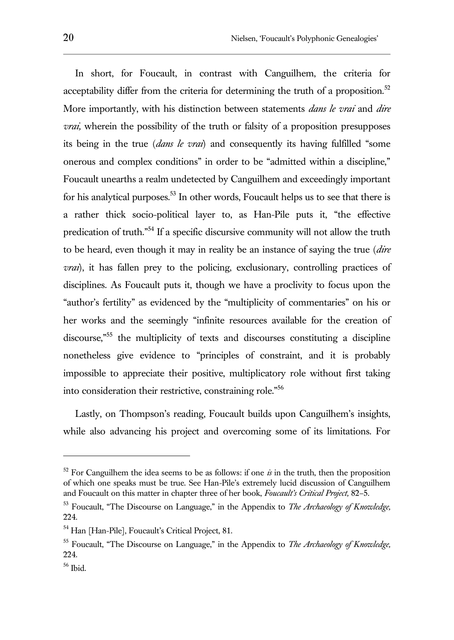In short, for Foucault, in contrast with Canguilhem, the criteria for acceptability differ from the criteria for determining the truth of a proposition.<sup>52</sup> More importantly, with his distinction between statements *dans le vrai* and *dire vrai*, wherein the possibility of the truth or falsity of a proposition presupposes its being in the true (*dans le vrai*) and consequently its having fulfilled "some onerous and complex conditions" in order to be "admitted within a discipline," Foucault unearths a realm undetected by Canguilhem and exceedingly important for his analytical purposes.<sup>53</sup> In other words, Foucault helps us to see that there is a rather thick socio-political layer to, as Han-Pile puts it, "the effective predication of truth."<sup>54</sup> If a specific discursive community will not allow the truth to be heard, even though it may in reality be an instance of saying the true (*dire vrai*), it has fallen prey to the policing, exclusionary, controlling practices of disciplines. As Foucault puts it, though we have a proclivity to focus upon the "author's fertility" as evidenced by the "multiplicity of commentaries" on his or her works and the seemingly "infinite resources available for the creation of discourse," <sup>55</sup> the multiplicity of texts and discourses constituting a discipline nonetheless give evidence to "principles of constraint, and it is probably impossible to appreciate their positive, multiplicatory role without first taking into consideration their restrictive, constraining role."<sup>56</sup>

Lastly, on Thompson's reading, Foucault builds upon Canguilhem's insights, while also advancing his project and overcoming some of its limitations. For

 $52$  For Canguilhem the idea seems to be as follows: if one  $\dot{x}$  in the truth, then the proposition of which one speaks must be true. See Han-Pile's extremely lucid discussion of Canguilhem and Foucault on this matter in chapter three of her book, *Foucault's Critical Project,* 82–5.

<sup>53</sup> Foucault, "The Discourse on Language," in the Appendix to *The Archaeology of Knowledge,*  224.

<sup>54</sup> Han [Han-Pile], Foucault's Critical Project, 81.

<sup>55</sup> Foucault, "The Discourse on Language," in the Appendix to *The Archaeology of Knowledge,*  224.

<sup>56</sup> Ibid.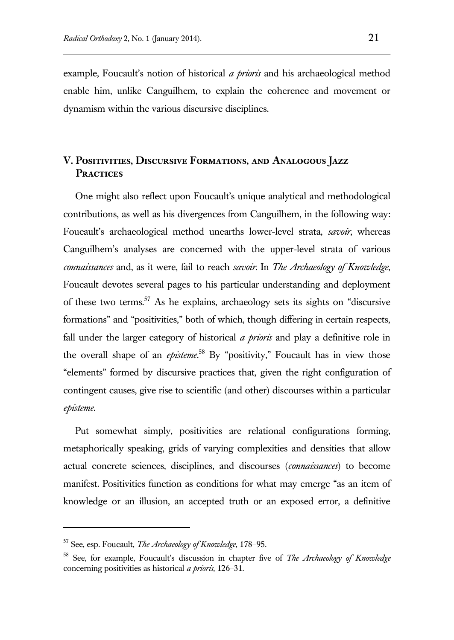example, Foucault's notion of historical *a prioris* and his archaeological method enable him, unlike Canguilhem, to explain the coherence and movement or dynamism within the various discursive disciplines.

# **V. Positivities, Discursive Formations, and Analogous Jazz Practices**

One might also reflect upon Foucault's unique analytical and methodological contributions, as well as his divergences from Canguilhem, in the following way: Foucault's archaeological method unearths lower-level strata, *savoir*, whereas Canguilhem's analyses are concerned with the upper-level strata of various *connaissances* and, as it were, fail to reach *savoir*. In *The Archaeology of Knowledge*, Foucault devotes several pages to his particular understanding and deployment of these two terms.<sup>57</sup> As he explains, archaeology sets its sights on "discursive formations" and "positivities," both of which, though differing in certain respects, fall under the larger category of historical *a prioris* and play a definitive role in the overall shape of an *episteme*. <sup>58</sup> By "positivity," Foucault has in view those "elements" formed by discursive practices that, given the right configuration of contingent causes, give rise to scientific (and other) discourses within a particular *episteme*.

Put somewhat simply, positivities are relational configurations forming, metaphorically speaking, grids of varying complexities and densities that allow actual concrete sciences, disciplines, and discourses (*connaissances*) to become manifest. Positivities function as conditions for what may emerge "as an item of knowledge or an illusion, an accepted truth or an exposed error, a definitive

<sup>57</sup> See, esp. Foucault, *The Archaeology of Knowledge*, 178–95.

<sup>58</sup> See, for example, Foucault's discussion in chapter five of *The Archaeology of Knowledge*  concerning positivities as historical *a prioris*, 126–31.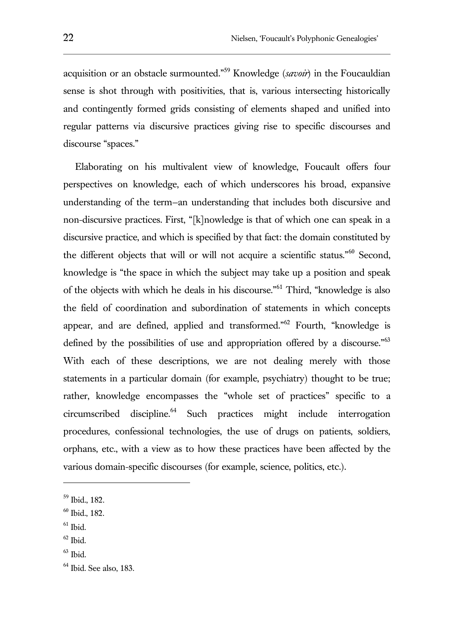acquisition or an obstacle surmounted."<sup>59</sup> Knowledge (*savoir*) in the Foucauldian sense is shot through with positivities, that is, various intersecting historically and contingently formed grids consisting of elements shaped and unified into regular patterns via discursive practices giving rise to specific discourses and discourse "spaces."

Elaborating on his multivalent view of knowledge, Foucault offers four perspectives on knowledge, each of which underscores his broad, expansive understanding of the term—an understanding that includes both discursive and non-discursive practices. First, "[k]nowledge is that of which one can speak in a discursive practice, and which is specified by that fact: the domain constituted by the different objects that will or will not acquire a scientific status."<sup>60</sup> Second, knowledge is "the space in which the subject may take up a position and speak of the objects with which he deals in his discourse."<sup>61</sup> Third, "knowledge is also the field of coordination and subordination of statements in which concepts appear, and are defined, applied and transformed."<sup>62</sup> Fourth, "knowledge is defined by the possibilities of use and appropriation offered by a discourse."<sup>63</sup> With each of these descriptions, we are not dealing merely with those statements in a particular domain (for example, psychiatry) thought to be true; rather, knowledge encompasses the "whole set of practices" specific to a circumscribed discipline.<sup>64</sup> Such practices might include interrogation procedures, confessional technologies, the use of drugs on patients, soldiers, orphans, etc., with a view as to how these practices have been affected by the various domain-specific discourses (for example, science, politics, etc.).

<sup>59</sup> Ibid., 182.

<sup>60</sup> Ibid., 182.

 $61$  Ibid.

 $62$  Ibid.

 $63$  Ibid.

 $<sup>64</sup>$  Ibid. See also, 183.</sup>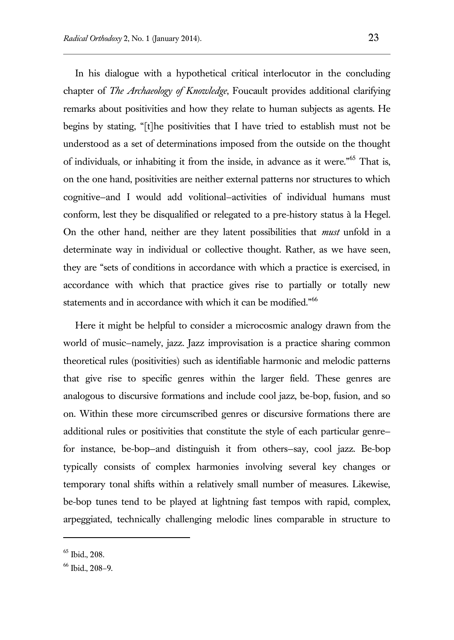In his dialogue with a hypothetical critical interlocutor in the concluding chapter of *The Archaeology of Knowledge*, Foucault provides additional clarifying remarks about positivities and how they relate to human subjects as agents. He begins by stating, "[t]he positivities that I have tried to establish must not be understood as a set of determinations imposed from the outside on the thought of individuals, or inhabiting it from the inside, in advance as it were."<sup>65</sup> That is, on the one hand, positivities are neither external patterns nor structures to which cognitive—and I would add volitional—activities of individual humans must conform, lest they be disqualified or relegated to a pre-history status à la Hegel. On the other hand, neither are they latent possibilities that *must* unfold in a determinate way in individual or collective thought. Rather, as we have seen, they are "sets of conditions in accordance with which a practice is exercised, in accordance with which that practice gives rise to partially or totally new statements and in accordance with which it can be modified."<sup>66</sup>

Here it might be helpful to consider a microcosmic analogy drawn from the world of music—namely, jazz. Jazz improvisation is a practice sharing common theoretical rules (positivities) such as identifiable harmonic and melodic patterns that give rise to specific genres within the larger field. These genres are analogous to discursive formations and include cool jazz, be-bop, fusion, and so on. Within these more circumscribed genres or discursive formations there are additional rules or positivities that constitute the style of each particular genre for instance, be-bop—and distinguish it from others—say, cool jazz. Be-bop typically consists of complex harmonies involving several key changes or temporary tonal shifts within a relatively small number of measures. Likewise, be-bop tunes tend to be played at lightning fast tempos with rapid, complex, arpeggiated, technically challenging melodic lines comparable in structure to

<sup>65</sup> Ibid., 208.

<sup>66</sup> Ibid., 208–9.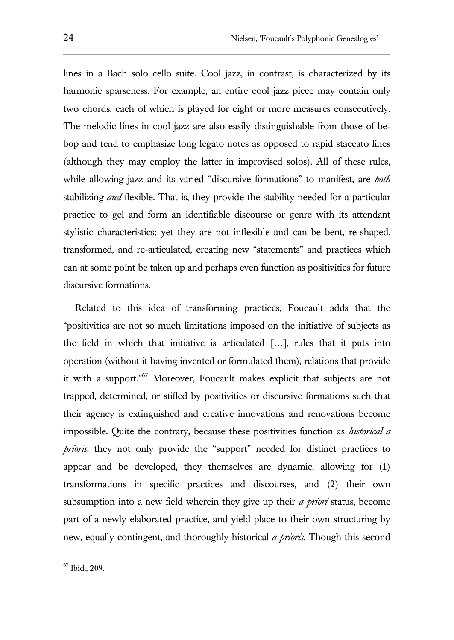lines in a Bach solo cello suite. Cool jazz, in contrast, is characterized by its harmonic sparseness. For example, an entire cool jazz piece may contain only two chords, each of which is played for eight or more measures consecutively. The melodic lines in cool jazz are also easily distinguishable from those of bebop and tend to emphasize long legato notes as opposed to rapid staccato lines (although they may employ the latter in improvised solos). All of these rules, while allowing jazz and its varied "discursive formations" to manifest, are *both* stabilizing *and* flexible. That is, they provide the stability needed for a particular practice to gel and form an identifiable discourse or genre with its attendant stylistic characteristics; yet they are not inflexible and can be bent, re-shaped, transformed, and re-articulated, creating new "statements" and practices which can at some point be taken up and perhaps even function as positivities for future discursive formations.

Related to this idea of transforming practices, Foucault adds that the "positivities are not so much limitations imposed on the initiative of subjects as the field in which that initiative is articulated […], rules that it puts into operation (without it having invented or formulated them), relations that provide it with a support."<sup>67</sup> Moreover, Foucault makes explicit that subjects are not trapped, determined, or stifled by positivities or discursive formations such that their agency is extinguished and creative innovations and renovations become impossible. Quite the contrary, because these positivities function as *historical a prioris*, they not only provide the "support" needed for distinct practices to appear and be developed, they themselves are dynamic, allowing for (1) transformations in specific practices and discourses, and (2) their own subsumption into a new field wherein they give up their *a priori* status, become part of a newly elaborated practice, and yield place to their own structuring by new, equally contingent, and thoroughly historical *a prioris*. Though this second

<sup>67</sup> Ibid., 209.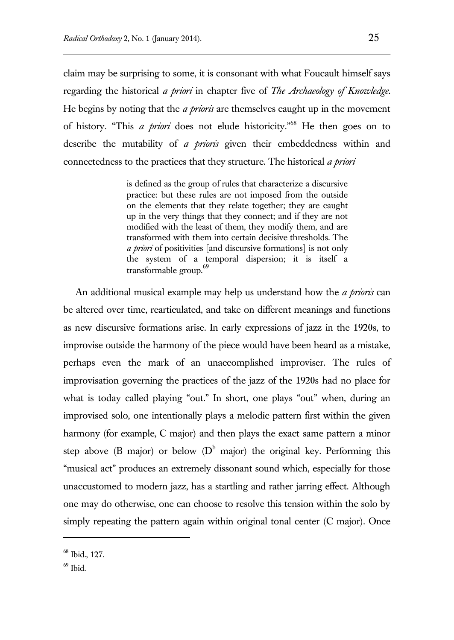claim may be surprising to some, it is consonant with what Foucault himself says regarding the historical *a priori* in chapter five of *The Archaeology of Knowledge*. He begins by noting that the *a prioris* are themselves caught up in the movement of history. "This *a priori* does not elude historicity."<sup>68</sup> He then goes on to describe the mutability of *a prioris* given their embeddedness within and connectedness to the practices that they structure. The historical *a priori* 

> is defined as the group of rules that characterize a discursive practice: but these rules are not imposed from the outside on the elements that they relate together; they are caught up in the very things that they connect; and if they are not modified with the least of them, they modify them, and are transformed with them into certain decisive thresholds. The *a priori* of positivities [and discursive formations] is not only the system of a temporal dispersion; it is itself a transformable group.<sup>69</sup>

An additional musical example may help us understand how the *a prioris* can be altered over time, rearticulated, and take on different meanings and functions as new discursive formations arise. In early expressions of jazz in the 1920s, to improvise outside the harmony of the piece would have been heard as a mistake, perhaps even the mark of an unaccomplished improviser. The rules of improvisation governing the practices of the jazz of the 1920s had no place for what is today called playing "out." In short, one plays "out" when, during an improvised solo, one intentionally plays a melodic pattern first within the given harmony (for example, C major) and then plays the exact same pattern a minor step above (B major) or below ( $D^b$  major) the original key. Performing this "musical act" produces an extremely dissonant sound which, especially for those unaccustomed to modern jazz, has a startling and rather jarring effect. Although one may do otherwise, one can choose to resolve this tension within the solo by simply repeating the pattern again within original tonal center (C major). Once

<sup>68</sup> Ibid., 127.

 $69$  Ibid.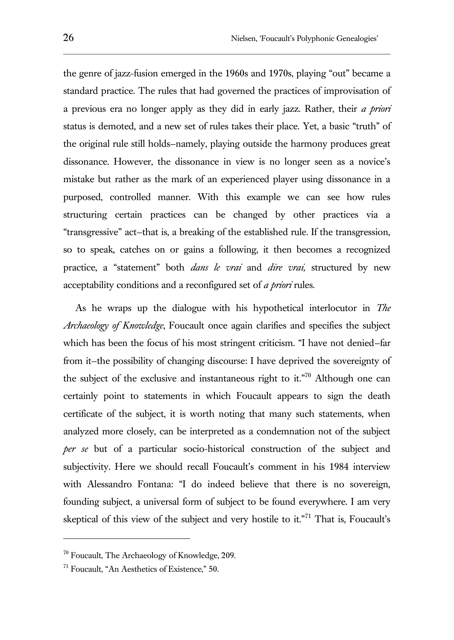the genre of jazz-fusion emerged in the 1960s and 1970s, playing "out" became a standard practice. The rules that had governed the practices of improvisation of a previous era no longer apply as they did in early jazz. Rather, their *a priori*  status is demoted, and a new set of rules takes their place. Yet, a basic "truth" of the original rule still holds—namely, playing outside the harmony produces great dissonance. However, the dissonance in view is no longer seen as a novice's mistake but rather as the mark of an experienced player using dissonance in a purposed, controlled manner. With this example we can see how rules structuring certain practices can be changed by other practices via a "transgressive" act—that is, a breaking of the established rule. If the transgression, so to speak, catches on or gains a following, it then becomes a recognized practice, a "statement" both *dans le vrai* and *dire vrai,* structured by new acceptability conditions and a reconfigured set of *a priori* rules.

As he wraps up the dialogue with his hypothetical interlocutor in *The Archaeology of Knowledge*, Foucault once again clarifies and specifies the subject which has been the focus of his most stringent criticism. "I have not denied—far from it—the possibility of changing discourse: I have deprived the sovereignty of the subject of the exclusive and instantaneous right to it."<sup>70</sup> Although one can certainly point to statements in which Foucault appears to sign the death certificate of the subject, it is worth noting that many such statements, when analyzed more closely, can be interpreted as a condemnation not of the subject *per se* but of a particular socio-historical construction of the subject and subjectivity. Here we should recall Foucault's comment in his 1984 interview with Alessandro Fontana: "I do indeed believe that there is no sovereign, founding subject, a universal form of subject to be found everywhere. I am very skeptical of this view of the subject and very hostile to it."<sup>71</sup> That is, Foucault's

<sup>70</sup> Foucault, The Archaeology of Knowledge, 209.

 $171$  Foucault. "An Aesthetics of Existence." 50.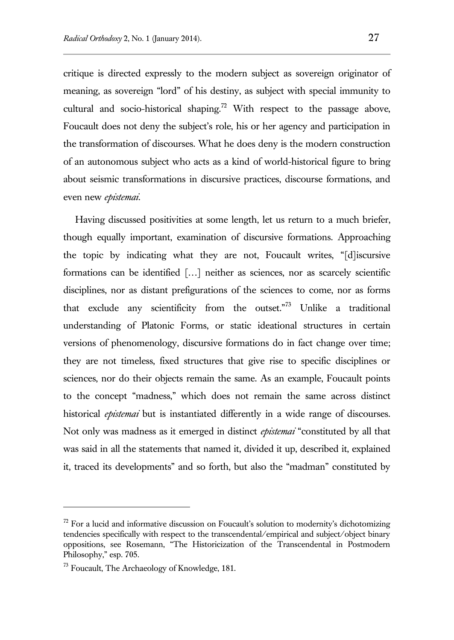critique is directed expressly to the modern subject as sovereign originator of meaning, as sovereign "lord" of his destiny, as subject with special immunity to cultural and socio-historical shaping.<sup>72</sup> With respect to the passage above, Foucault does not deny the subject's role, his or her agency and participation in the transformation of discourses. What he does deny is the modern construction of an autonomous subject who acts as a kind of world-historical figure to bring about seismic transformations in discursive practices, discourse formations, and even new *epistemai*.

Having discussed positivities at some length, let us return to a much briefer, though equally important, examination of discursive formations. Approaching the topic by indicating what they are not, Foucault writes, "[d]iscursive formations can be identified […] neither as sciences, nor as scarcely scientific disciplines, nor as distant prefigurations of the sciences to come, nor as forms that exclude any scientificity from the outset. $n^{73}$  Unlike a traditional understanding of Platonic Forms, or static ideational structures in certain versions of phenomenology, discursive formations do in fact change over time; they are not timeless, fixed structures that give rise to specific disciplines or sciences, nor do their objects remain the same. As an example, Foucault points to the concept "madness," which does not remain the same across distinct historical *epistemai* but is instantiated differently in a wide range of discourses. Not only was madness as it emerged in distinct *epistemai* "constituted by all that was said in all the statements that named it, divided it up, described it, explained it, traced its developments" and so forth, but also the "madman" constituted by

l

 $72$  For a lucid and informative discussion on Foucault's solution to modernity's dichotomizing tendencies specifically with respect to the transcendental/empirical and subject/object binary oppositions, see Rosemann, "The Historicization of the Transcendental in Postmodern Philosophy," esp. 705.

<sup>&</sup>lt;sup>73</sup> Foucault, The Archaeology of Knowledge, 181.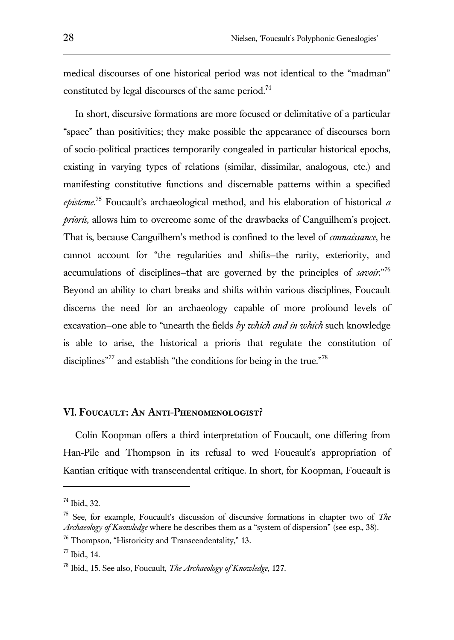medical discourses of one historical period was not identical to the "madman" constituted by legal discourses of the same period.<sup>74</sup>

In short, discursive formations are more focused or delimitative of a particular "space" than positivities; they make possible the appearance of discourses born of socio-political practices temporarily congealed in particular historical epochs, existing in varying types of relations (similar, dissimilar, analogous, etc.) and manifesting constitutive functions and discernable patterns within a specified *episteme*. <sup>75</sup> Foucault's archaeological method, and his elaboration of historical *a prioris,* allows him to overcome some of the drawbacks of Canguilhem's project. That is, because Canguilhem's method is confined to the level of *connaissance*, he cannot account for "the regularities and shifts—the rarity, exteriority, and accumulations of disciplines—that are governed by the principles of *savoir*."<sup>76</sup> Beyond an ability to chart breaks and shifts within various disciplines, Foucault discerns the need for an archaeology capable of more profound levels of excavation—one able to "unearth the fields *by which and in which* such knowledge is able to arise, the historical a prioris that regulate the constitution of disciplines<sup>"77</sup> and establish "the conditions for being in the true."<sup>78</sup>

## **VI. Foucault: An Anti-Phenomenologist?**

Colin Koopman offers a third interpretation of Foucault, one differing from Han-Pile and Thompson in its refusal to wed Foucault's appropriation of Kantian critique with transcendental critique. In short, for Koopman, Foucault is

l

<sup>74</sup> Ibid., 32.

<sup>75</sup> See, for example, Foucault's discussion of discursive formations in chapter two of *The Archaeology of Knowledge* where he describes them as a "system of dispersion" (see esp., 38).

<sup>&</sup>lt;sup>76</sup> Thompson, "Historicity and Transcendentality," 13.

<sup>77</sup> Ibid., 14.

<sup>78</sup> Ibid., 15. See also, Foucault, *The Archaeology of Knowledge*, 127.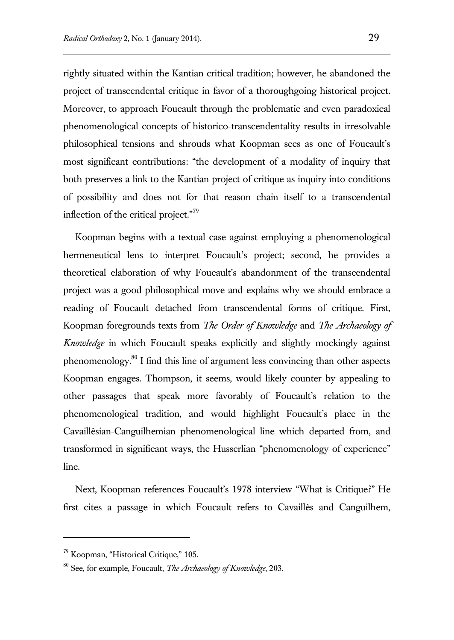rightly situated within the Kantian critical tradition; however, he abandoned the project of transcendental critique in favor of a thoroughgoing historical project. Moreover, to approach Foucault through the problematic and even paradoxical phenomenological concepts of historico-transcendentality results in irresolvable philosophical tensions and shrouds what Koopman sees as one of Foucault's most significant contributions: "the development of a modality of inquiry that both preserves a link to the Kantian project of critique as inquiry into conditions of possibility and does not for that reason chain itself to a transcendental inflection of the critical project."<sup>79</sup>

Koopman begins with a textual case against employing a phenomenological hermeneutical lens to interpret Foucault's project; second, he provides a theoretical elaboration of why Foucault's abandonment of the transcendental project was a good philosophical move and explains why we should embrace a reading of Foucault detached from transcendental forms of critique. First, Koopman foregrounds texts from *The Order of Knowledge* and *The Archaeology of Knowledge* in which Foucault speaks explicitly and slightly mockingly against phenomenology.<sup>80</sup> I find this line of argument less convincing than other aspects Koopman engages. Thompson, it seems, would likely counter by appealing to other passages that speak more favorably of Foucault's relation to the phenomenological tradition, and would highlight Foucault's place in the Cavaillèsian-Canguilhemian phenomenological line which departed from, and transformed in significant ways, the Husserlian "phenomenology of experience" line.

Next, Koopman references Foucault's 1978 interview "What is Critique?" He first cites a passage in which Foucault refers to Cavaillès and Canguilhem,

<sup>79</sup> Koopman, "Historical Critique," 105.

<sup>80</sup> See, for example, Foucault, *The Archaeology of Knowledge*, 203.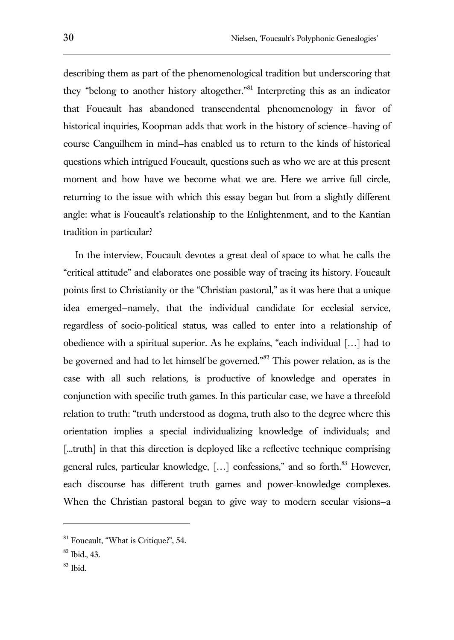describing them as part of the phenomenological tradition but underscoring that they "belong to another history altogether."<sup>81</sup> Interpreting this as an indicator that Foucault has abandoned transcendental phenomenology in favor of historical inquiries, Koopman adds that work in the history of science—having of course Canguilhem in mind—has enabled us to return to the kinds of historical questions which intrigued Foucault, questions such as who we are at this present moment and how have we become what we are. Here we arrive full circle, returning to the issue with which this essay began but from a slightly different angle: what is Foucault's relationship to the Enlightenment, and to the Kantian tradition in particular?

In the interview, Foucault devotes a great deal of space to what he calls the "critical attitude" and elaborates one possible way of tracing its history. Foucault points first to Christianity or the "Christian pastoral," as it was here that a unique idea emerged—namely, that the individual candidate for ecclesial service, regardless of socio-political status, was called to enter into a relationship of obedience with a spiritual superior. As he explains, "each individual […] had to be governed and had to let himself be governed."<sup>82</sup> This power relation, as is the case with all such relations, is productive of knowledge and operates in conjunction with specific truth games. In this particular case, we have a threefold relation to truth: "truth understood as dogma, truth also to the degree where this orientation implies a special individualizing knowledge of individuals; and [...truth] in that this direction is deployed like a reflective technique comprising general rules, particular knowledge, [...] confessions," and so forth.<sup>83</sup> However, each discourse has different truth games and power-knowledge complexes. When the Christian pastoral began to give way to modern secular visions—a

<sup>&</sup>lt;sup>81</sup> Foucault, "What is Critique?", 54.

 $82$  Ibid., 43.

<sup>83</sup> Ibid.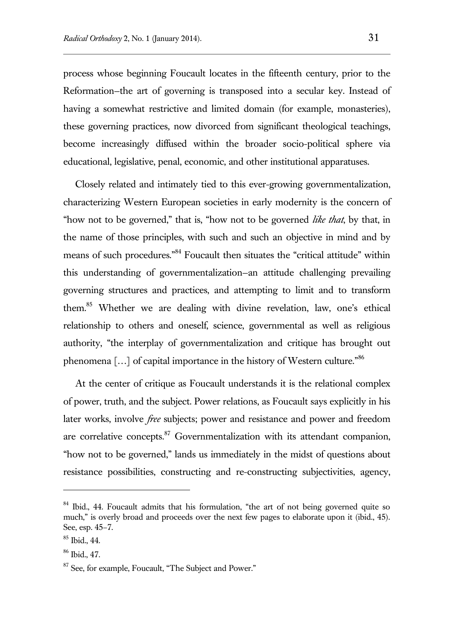process whose beginning Foucault locates in the fifteenth century, prior to the Reformation—the art of governing is transposed into a secular key. Instead of having a somewhat restrictive and limited domain (for example, monasteries), these governing practices, now divorced from significant theological teachings, become increasingly diffused within the broader socio-political sphere via educational, legislative, penal, economic, and other institutional apparatuses.

Closely related and intimately tied to this ever-growing governmentalization, characterizing Western European societies in early modernity is the concern of "how not to be governed," that is, "how not to be governed *like that*, by that, in the name of those principles, with such and such an objective in mind and by means of such procedures."<sup>84</sup> Foucault then situates the "critical attitude" within this understanding of governmentalization—an attitude challenging prevailing governing structures and practices, and attempting to limit and to transform them.<sup>85</sup> Whether we are dealing with divine revelation, law, one's ethical relationship to others and oneself, science, governmental as well as religious authority, "the interplay of governmentalization and critique has brought out phenomena [...] of capital importance in the history of Western culture."<sup>86</sup>

At the center of critique as Foucault understands it is the relational complex of power, truth, and the subject. Power relations, as Foucault says explicitly in his later works, involve *free* subjects; power and resistance and power and freedom are correlative concepts. $87$  Governmentalization with its attendant companion, "how not to be governed," lands us immediately in the midst of questions about resistance possibilities, constructing and re-constructing subjectivities, agency,

 $84$  Ibid., 44. Foucault admits that his formulation, "the art of not being governed quite so much," is overly broad and proceeds over the next few pages to elaborate upon it (ibid., 45). See, esp. 45–7.

<sup>85</sup> Ibid., 44.

<sup>86</sup> Ibid., 47.

<sup>&</sup>lt;sup>87</sup> See, for example, Foucault, "The Subject and Power."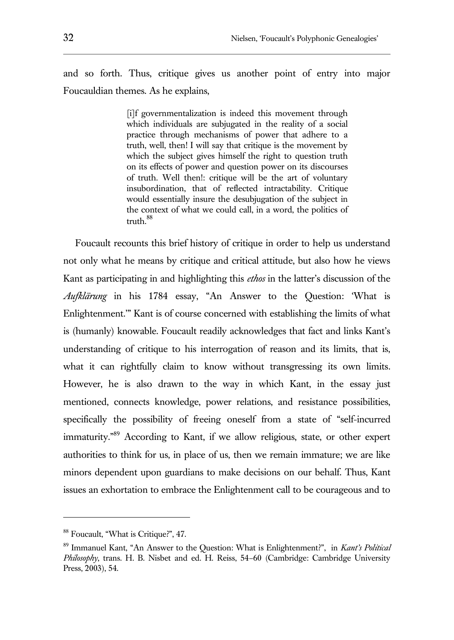and so forth. Thus, critique gives us another point of entry into major Foucauldian themes. As he explains,

> [i]f governmentalization is indeed this movement through which individuals are subjugated in the reality of a social practice through mechanisms of power that adhere to a truth, well, then! I will say that critique is the movement by which the subject gives himself the right to question truth on its effects of power and question power on its discourses of truth. Well then!: critique will be the art of voluntary insubordination, that of reflected intractability. Critique would essentially insure the desubjugation of the subject in the context of what we could call, in a word, the politics of truth.<sup>88</sup>

Foucault recounts this brief history of critique in order to help us understand not only what he means by critique and critical attitude, but also how he views Kant as participating in and highlighting this *ethos* in the latter's discussion of the *Aufklärung* in his 1784 essay, "An Answer to the Question: 'What is Enlightenment.'" Kant is of course concerned with establishing the limits of what is (humanly) knowable. Foucault readily acknowledges that fact and links Kant's understanding of critique to his interrogation of reason and its limits, that is, what it can rightfully claim to know without transgressing its own limits. However, he is also drawn to the way in which Kant, in the essay just mentioned, connects knowledge, power relations, and resistance possibilities, specifically the possibility of freeing oneself from a state of "self-incurred immaturity."<sup>89</sup> According to Kant, if we allow religious, state, or other expert authorities to think for us, in place of us, then we remain immature; we are like minors dependent upon guardians to make decisions on our behalf. Thus, Kant issues an exhortation to embrace the Enlightenment call to be courageous and to

<sup>88</sup> Foucault, "What is Critique?", 47.

<sup>89</sup> Immanuel Kant, "An Answer to the Question: What is Enlightenment?", in *Kant's Political Philosophy*, trans. H. B. Nisbet and ed. H. Reiss, 54–60 (Cambridge: Cambridge University Press, 2003), 54.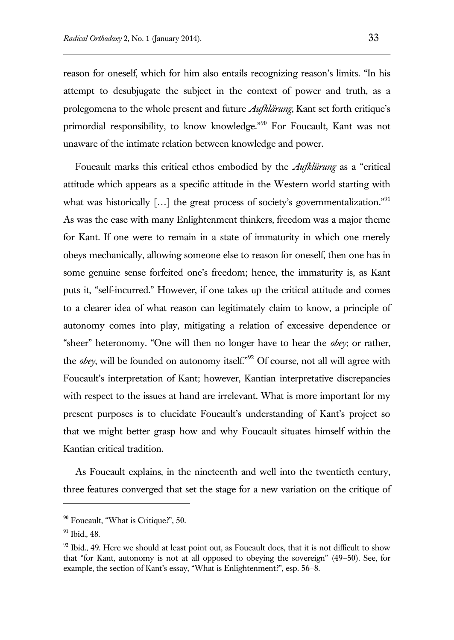reason for oneself, which for him also entails recognizing reason's limits. "In his attempt to desubjugate the subject in the context of power and truth, as a prolegomena to the whole present and future *Aufklärung*, Kant set forth critique's primordial responsibility, to know knowledge."<sup>90</sup> For Foucault, Kant was not unaware of the intimate relation between knowledge and power.

Foucault marks this critical ethos embodied by the *Aufklürung* as a "critical attitude which appears as a specific attitude in the Western world starting with what was historically [...] the great process of society's governmentalization."<sup>91</sup> As was the case with many Enlightenment thinkers, freedom was a major theme for Kant. If one were to remain in a state of immaturity in which one merely obeys mechanically, allowing someone else to reason for oneself, then one has in some genuine sense forfeited one's freedom; hence, the immaturity is, as Kant puts it, "self-incurred." However, if one takes up the critical attitude and comes to a clearer idea of what reason can legitimately claim to know, a principle of autonomy comes into play, mitigating a relation of excessive dependence or "sheer" heteronomy. "One will then no longer have to hear the *obey*; or rather, the *obey*, will be founded on autonomy itself."<sup>92</sup> Of course, not all will agree with Foucault's interpretation of Kant; however, Kantian interpretative discrepancies with respect to the issues at hand are irrelevant. What is more important for my present purposes is to elucidate Foucault's understanding of Kant's project so that we might better grasp how and why Foucault situates himself within the Kantian critical tradition.

As Foucault explains, in the nineteenth and well into the twentieth century, three features converged that set the stage for a new variation on the critique of

 $90$  Foucault, "What is Critique?", 50.

<sup>91</sup> Ibid., 48.

 $92$  Ibid., 49. Here we should at least point out, as Foucault does, that it is not difficult to show that "for Kant, autonomy is not at all opposed to obeying the sovereign" (49–50). See, for example, the section of Kant's essay, "What is Enlightenment?", esp. 56–8.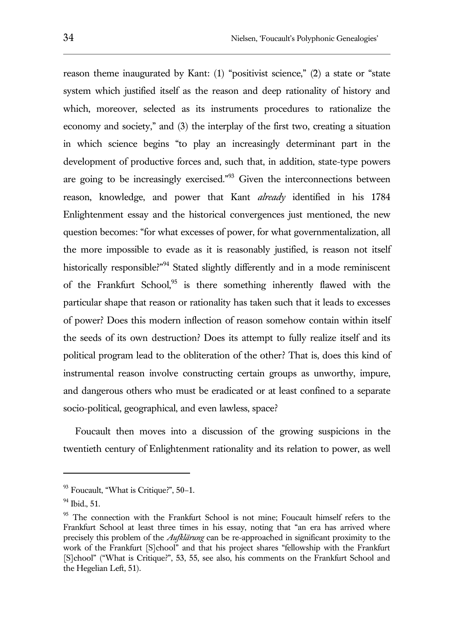reason theme inaugurated by Kant: (1) "positivist science," (2) a state or "state system which justified itself as the reason and deep rationality of history and which, moreover, selected as its instruments procedures to rationalize the economy and society," and (3) the interplay of the first two, creating a situation in which science begins "to play an increasingly determinant part in the development of productive forces and, such that, in addition, state-type powers are going to be increasingly exercised."<sup>93</sup> Given the interconnections between reason, knowledge, and power that Kant *already* identified in his 1784 Enlightenment essay and the historical convergences just mentioned, the new question becomes: "for what excesses of power, for what governmentalization, all the more impossible to evade as it is reasonably justified, is reason not itself historically responsible?"<sup>94</sup> Stated slightly differently and in a mode reminiscent of the Frankfurt School, $95$  is there something inherently flawed with the particular shape that reason or rationality has taken such that it leads to excesses of power? Does this modern inflection of reason somehow contain within itself the seeds of its own destruction? Does its attempt to fully realize itself and its political program lead to the obliteration of the other? That is, does this kind of instrumental reason involve constructing certain groups as unworthy, impure, and dangerous others who must be eradicated or at least confined to a separate socio-political, geographical, and even lawless, space?

Foucault then moves into a discussion of the growing suspicions in the twentieth century of Enlightenment rationality and its relation to power, as well

 $93$  Foucault, "What is Critique?",  $50-1$ .

 $94$  Ibid., 51.

<sup>&</sup>lt;sup>95</sup> The connection with the Frankfurt School is not mine; Foucault himself refers to the Frankfurt School at least three times in his essay, noting that "an era has arrived where precisely this problem of the *Aufklärung* can be re-approached in significant proximity to the work of the Frankfurt [S]chool" and that his project shares "fellowship with the Frankfurt [S]chool" ("What is Critique?", 53, 55, see also, his comments on the Frankfurt School and the Hegelian Left, 51).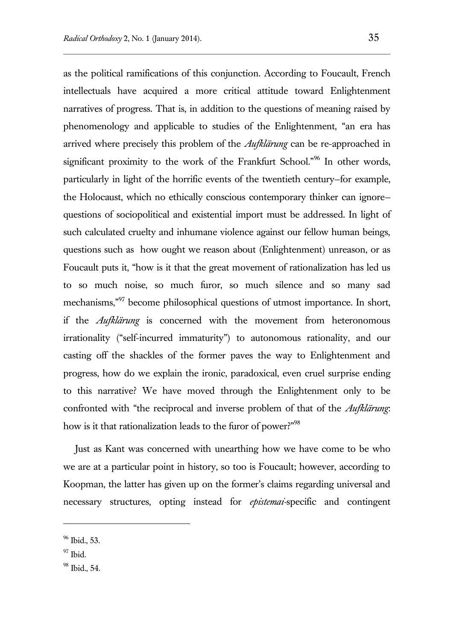as the political ramifications of this conjunction. According to Foucault, French intellectuals have acquired a more critical attitude toward Enlightenment narratives of progress. That is, in addition to the questions of meaning raised by phenomenology and applicable to studies of the Enlightenment, "an era has arrived where precisely this problem of the *Aufklärung* can be re-approached in significant proximity to the work of the Frankfurt School."<sup>96</sup> In other words, particularly in light of the horrific events of the twentieth century—for example, the Holocaust, which no ethically conscious contemporary thinker can ignore questions of sociopolitical and existential import must be addressed. In light of such calculated cruelty and inhumane violence against our fellow human beings, questions such as how ought we reason about (Enlightenment) unreason, or as Foucault puts it, "how is it that the great movement of rationalization has led us to so much noise, so much furor, so much silence and so many sad mechanisms,"<sup>97</sup> become philosophical questions of utmost importance. In short, if the *Aufklärung* is concerned with the movement from heteronomous irrationality ("self-incurred immaturity") to autonomous rationality, and our casting off the shackles of the former paves the way to Enlightenment and progress, how do we explain the ironic, paradoxical, even cruel surprise ending to this narrative? We have moved through the Enlightenment only to be confronted with "the reciprocal and inverse problem of that of the *Aufklärung*: how is it that rationalization leads to the furor of power?"<sup>98</sup>

Just as Kant was concerned with unearthing how we have come to be who we are at a particular point in history, so too is Foucault; however, according to Koopman, the latter has given up on the former's claims regarding universal and necessary structures, opting instead for *epistemai-*specific and contingent

<sup>96</sup> Ibid., 53.

 $97$  Ibid.

<sup>98</sup> Ibid., 54.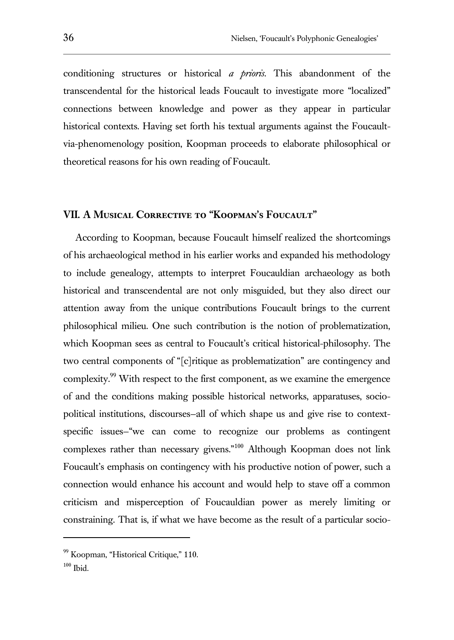conditioning structures or historical *a prioris*. This abandonment of the transcendental for the historical leads Foucault to investigate more "localized" connections between knowledge and power as they appear in particular historical contexts. Having set forth his textual arguments against the Foucaultvia-phenomenology position, Koopman proceeds to elaborate philosophical or theoretical reasons for his own reading of Foucault.

#### **VII. A Musical Corrective to "Koopman's Foucault"**

According to Koopman, because Foucault himself realized the shortcomings of his archaeological method in his earlier works and expanded his methodology to include genealogy, attempts to interpret Foucauldian archaeology as both historical and transcendental are not only misguided, but they also direct our attention away from the unique contributions Foucault brings to the current philosophical milieu. One such contribution is the notion of problematization, which Koopman sees as central to Foucault's critical historical-philosophy. The two central components of "[c]ritique as problematization" are contingency and complexity.<sup>99</sup> With respect to the first component, as we examine the emergence of and the conditions making possible historical networks, apparatuses, sociopolitical institutions, discourses—all of which shape us and give rise to contextspecific issues—"we can come to recognize our problems as contingent complexes rather than necessary givens."<sup>100</sup> Although Koopman does not link Foucault's emphasis on contingency with his productive notion of power, such a connection would enhance his account and would help to stave off a common criticism and misperception of Foucauldian power as merely limiting or constraining. That is, if what we have become as the result of a particular socio-

<sup>99</sup> Koopman, "Historical Critique," 110.

 $100$  Ibid.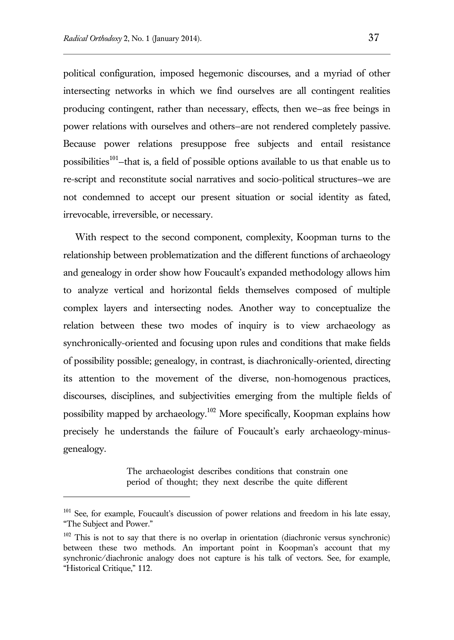l

political configuration, imposed hegemonic discourses, and a myriad of other intersecting networks in which we find ourselves are all contingent realities producing contingent, rather than necessary, effects, then we—as free beings in power relations with ourselves and others—are not rendered completely passive. Because power relations presuppose free subjects and entail resistance possibilities<sup>101</sup>-that is, a field of possible options available to us that enable us to re-script and reconstitute social narratives and socio-political structures—we are not condemned to accept our present situation or social identity as fated, irrevocable, irreversible, or necessary.

With respect to the second component, complexity, Koopman turns to the relationship between problematization and the different functions of archaeology and genealogy in order show how Foucault's expanded methodology allows him to analyze vertical and horizontal fields themselves composed of multiple complex layers and intersecting nodes. Another way to conceptualize the relation between these two modes of inquiry is to view archaeology as synchronically-oriented and focusing upon rules and conditions that make fields of possibility possible; genealogy, in contrast, is diachronically-oriented, directing its attention to the movement of the diverse, non-homogenous practices, discourses, disciplines, and subjectivities emerging from the multiple fields of possibility mapped by archaeology.<sup>102</sup> More specifically, Koopman explains how precisely he understands the failure of Foucault's early archaeology-minusgenealogy.

> The archaeologist describes conditions that constrain one period of thought; they next describe the quite different

<sup>&</sup>lt;sup>101</sup> See, for example, Foucault's discussion of power relations and freedom in his late essay, "The Subject and Power."

 $102$  This is not to say that there is no overlap in orientation (diachronic versus synchronic) between these two methods. An important point in Koopman's account that my synchronic/diachronic analogy does not capture is his talk of vectors. See, for example, "Historical Critique," 112.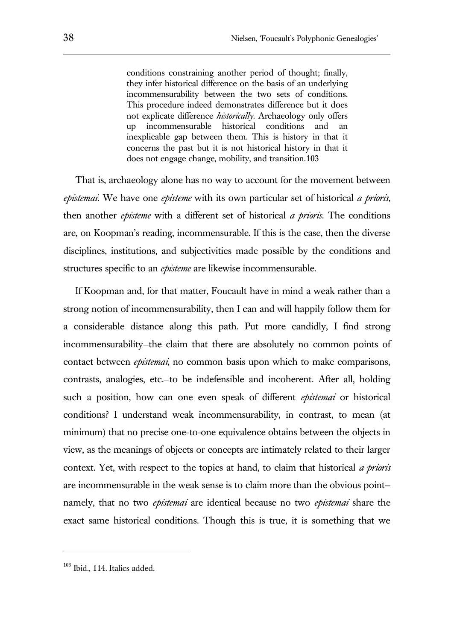conditions constraining another period of thought; finally, they infer historical difference on the basis of an underlying incommensurability between the two sets of conditions. This procedure indeed demonstrates difference but it does not explicate difference *historically*. Archaeology only offers up incommensurable historical conditions and an inexplicable gap between them. This is history in that it concerns the past but it is not historical history in that it does not engage change, mobility, and transition.103

That is, archaeology alone has no way to account for the movement between *epistemai*. We have one *episteme* with its own particular set of historical *a prioris*, then another *episteme* with a different set of historical *a prioris.* The conditions are, on Koopman's reading, incommensurable. If this is the case, then the diverse disciplines, institutions, and subjectivities made possible by the conditions and structures specific to an *episteme* are likewise incommensurable.

If Koopman and, for that matter, Foucault have in mind a weak rather than a strong notion of incommensurability, then I can and will happily follow them for a considerable distance along this path. Put more candidly, I find strong incommensurability—the claim that there are absolutely no common points of contact between *epistemai*, no common basis upon which to make comparisons, contrasts, analogies, etc.—to be indefensible and incoherent. After all, holding such a position, how can one even speak of different *epistemai* or historical conditions? I understand weak incommensurability, in contrast, to mean (at minimum) that no precise one-to-one equivalence obtains between the objects in view, as the meanings of objects or concepts are intimately related to their larger context. Yet, with respect to the topics at hand, to claim that historical *a prioris*  are incommensurable in the weak sense is to claim more than the obvious point namely, that no two *epistemai* are identical because no two *epistemai* share the exact same historical conditions. Though this is true, it is something that we

<sup>103</sup> Ibid., 114. Italics added.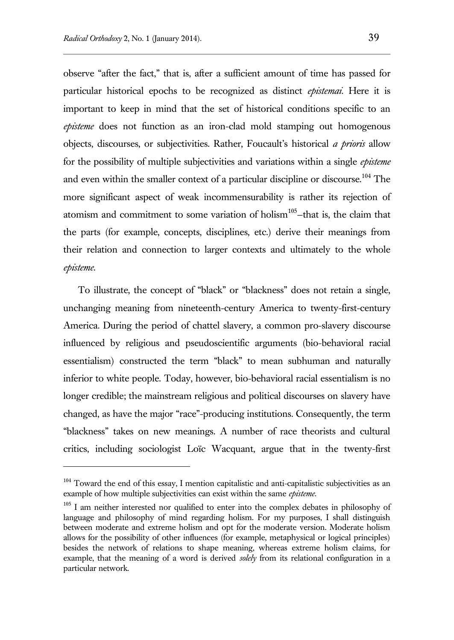$\overline{a}$ 

observe "after the fact," that is, after a sufficient amount of time has passed for particular historical epochs to be recognized as distinct *epistemai.* Here it is important to keep in mind that the set of historical conditions specific to an *episteme* does not function as an iron-clad mold stamping out homogenous objects, discourses, or subjectivities. Rather, Foucault's historical *a prioris* allow for the possibility of multiple subjectivities and variations within a single *episteme* and even within the smaller context of a particular discipline or discourse.<sup>104</sup> The more significant aspect of weak incommensurability is rather its rejection of atomism and commitment to some variation of holism<sup>105</sup>-that is, the claim that the parts (for example, concepts, disciplines, etc.) derive their meanings from their relation and connection to larger contexts and ultimately to the whole *episteme*.

To illustrate, the concept of "black" or "blackness" does not retain a single, unchanging meaning from nineteenth-century America to twenty-first-century America. During the period of chattel slavery, a common pro-slavery discourse influenced by religious and pseudoscientific arguments (bio-behavioral racial essentialism) constructed the term "black" to mean subhuman and naturally inferior to white people. Today, however, bio-behavioral racial essentialism is no longer credible; the mainstream religious and political discourses on slavery have changed, as have the major "race"-producing institutions. Consequently, the term "blackness" takes on new meanings. A number of race theorists and cultural critics, including sociologist Loïc Wacquant, argue that in the twenty-first

 $104$  Toward the end of this essay, I mention capitalistic and anti-capitalistic subjectivities as an example of how multiple subjectivities can exist within the same *episteme*.

<sup>&</sup>lt;sup>105</sup> I am neither interested nor qualified to enter into the complex debates in philosophy of language and philosophy of mind regarding holism. For my purposes, I shall distinguish between moderate and extreme holism and opt for the moderate version. Moderate holism allows for the possibility of other influences (for example, metaphysical or logical principles) besides the network of relations to shape meaning, whereas extreme holism claims, for example, that the meaning of a word is derived *solely* from its relational configuration in a particular network.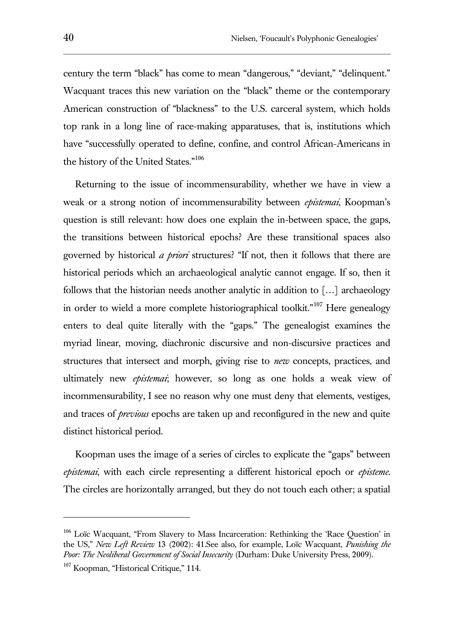century the term "black" has come to mean "dangerous," "deviant," "delinquent." Wacquant traces this new variation on the "black" theme or the contemporary American construction of "blackness" to the U.S. carceral system, which holds top rank in a long line of race-making apparatuses, that is, institutions which have "successfully operated to define, confine, and control African-Americans in the history of the United States."<sup>106</sup>

Returning to the issue of incommensurability, whether we have in view a weak or a strong notion of incommensurability between *epistemai*, Koopman's question is still relevant: how does one explain the in-between space, the gaps, the transitions between historical epochs? Are these transitional spaces also governed by historical *a priori* structures? "If not, then it follows that there are historical periods which an archaeological analytic cannot engage. If so, then it follows that the historian needs another analytic in addition to […] archaeology in order to wield a more complete historiographical toolkit."<sup>107</sup> Here genealogy enters to deal quite literally with the "gaps." The genealogist examines the myriad linear, moving, diachronic discursive and non-discursive practices and structures that intersect and morph, giving rise to *new* concepts, practices, and ultimately new *epistemai*; however, so long as one holds a weak view of incommensurability, I see no reason why one must deny that elements, vestiges, and traces of *previous* epochs are taken up and reconfigured in the new and quite distinct historical period.

Koopman uses the image of a series of circles to explicate the "gaps" between *epistemai*, with each circle representing a different historical epoch or *episteme*. The circles are horizontally arranged, but they do not touch each other; a spatial

Loïc Wacquant, "From Slavery to Mass Incarceration: Rethinking the 'Race Question' in the US," *New Left Review* 13 (2002): 41.See also, for example, Loïc Wacquant, *Punishing the Poor: The Neoliberal Government of Social Insecurity* (Durham: Duke University Press, 2009).

<sup>&</sup>lt;sup>107</sup> Koopman, "Historical Critique," 114.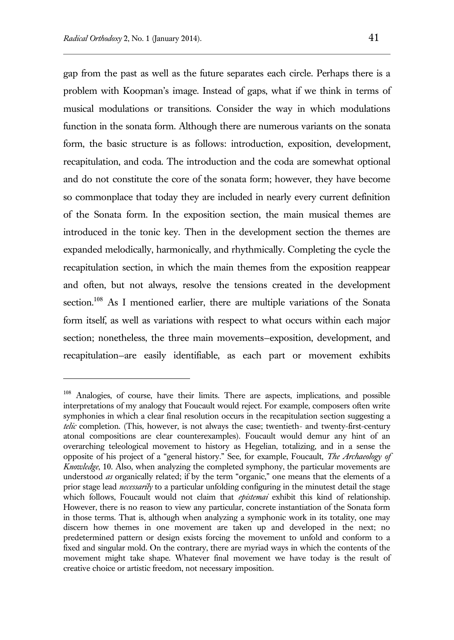$\overline{a}$ 

gap from the past as well as the future separates each circle. Perhaps there is a problem with Koopman's image. Instead of gaps, what if we think in terms of musical modulations or transitions. Consider the way in which modulations function in the sonata form. Although there are numerous variants on the sonata form, the basic structure is as follows: introduction, exposition, development, recapitulation, and coda. The introduction and the coda are somewhat optional and do not constitute the core of the sonata form; however, they have become so commonplace that today they are included in nearly every current definition of the Sonata form. In the exposition section, the main musical themes are introduced in the tonic key. Then in the development section the themes are expanded melodically, harmonically, and rhythmically. Completing the cycle the recapitulation section, in which the main themes from the exposition reappear and often, but not always, resolve the tensions created in the development section.<sup>108</sup> As I mentioned earlier, there are multiple variations of the Sonata form itself, as well as variations with respect to what occurs within each major section; nonetheless, the three main movements—exposition, development, and recapitulation—are easily identifiable, as each part or movement exhibits

<sup>108</sup> Analogies, of course, have their limits. There are aspects, implications, and possible interpretations of my analogy that Foucault would reject. For example, composers often write symphonies in which a clear final resolution occurs in the recapitulation section suggesting a *telic* completion. (This, however, is not always the case; twentieth- and twenty-first-century atonal compositions are clear counterexamples). Foucault would demur any hint of an overarching teleological movement to history as Hegelian, totalizing, and in a sense the opposite of his project of a "general history." See, for example, Foucault, *The Archaeology of Knowledge*, 10. Also, when analyzing the completed symphony, the particular movements are understood *as* organically related; if by the term "organic," one means that the elements of a prior stage lead *necessarily* to a particular unfolding configuring in the minutest detail the stage which follows, Foucault would not claim that *epistemai* exhibit this kind of relationship. However, there is no reason to view any particular, concrete instantiation of the Sonata form in those terms. That is, although when analyzing a symphonic work in its totality, one may discern how themes in one movement are taken up and developed in the next; no predetermined pattern or design exists forcing the movement to unfold and conform to a fixed and singular mold. On the contrary, there are myriad ways in which the contents of the movement might take shape. Whatever final movement we have today is the result of creative choice or artistic freedom, not necessary imposition.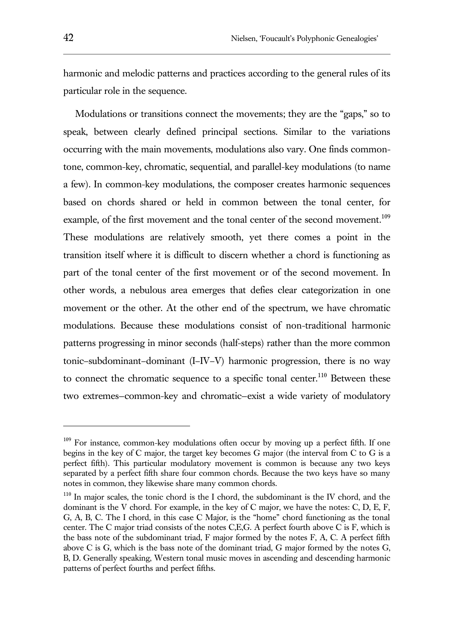harmonic and melodic patterns and practices according to the general rules of its particular role in the sequence.

Modulations or transitions connect the movements; they are the "gaps," so to speak, between clearly defined principal sections. Similar to the variations occurring with the main movements, modulations also vary. One finds commontone, common-key, chromatic, sequential, and parallel-key modulations (to name a few). In common-key modulations, the composer creates harmonic sequences based on chords shared or held in common between the tonal center, for example, of the first movement and the tonal center of the second movement.<sup>109</sup> These modulations are relatively smooth, yet there comes a point in the transition itself where it is difficult to discern whether a chord is functioning as part of the tonal center of the first movement or of the second movement. In other words, a nebulous area emerges that defies clear categorization in one movement or the other. At the other end of the spectrum, we have chromatic modulations. Because these modulations consist of non-traditional harmonic patterns progressing in minor seconds (half-steps) rather than the more common tonic–subdominant–dominant (I–IV–V) harmonic progression, there is no way to connect the chromatic sequence to a specific tonal center.<sup>110</sup> Between these two extremes—common-key and chromatic—exist a wide variety of modulatory

 $109$  For instance, common-key modulations often occur by moving up a perfect fifth. If one begins in the key of C major, the target key becomes G major (the interval from C to G is a perfect fifth). This particular modulatory movement is common is because any two keys separated by a perfect fifth share four common chords. Because the two keys have so many notes in common, they likewise share many common chords.

 $110$  In major scales, the tonic chord is the I chord, the subdominant is the IV chord, and the dominant is the V chord. For example, in the key of C major, we have the notes: C, D, E, F, G, A, B, C. The I chord, in this case C Major, is the "home" chord functioning as the tonal center. The C major triad consists of the notes C,E,G. A perfect fourth above C is F, which is the bass note of the subdominant triad, F major formed by the notes F, A, C. A perfect fifth above C is G, which is the bass note of the dominant triad, G major formed by the notes G, B, D. Generally speaking, Western tonal music moves in ascending and descending harmonic patterns of perfect fourths and perfect fifths.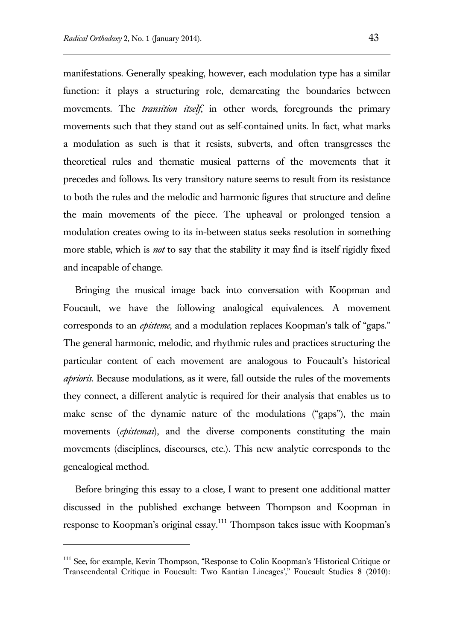manifestations. Generally speaking, however, each modulation type has a similar function: it plays a structuring role, demarcating the boundaries between movements. The *transition itself*, in other words, foregrounds the primary movements such that they stand out as self-contained units. In fact, what marks a modulation as such is that it resists, subverts, and often transgresses the theoretical rules and thematic musical patterns of the movements that it precedes and follows. Its very transitory nature seems to result from its resistance to both the rules and the melodic and harmonic figures that structure and define the main movements of the piece. The upheaval or prolonged tension a modulation creates owing to its in-between status seeks resolution in something more stable, which is *not* to say that the stability it may find is itself rigidly fixed and incapable of change.

Bringing the musical image back into conversation with Koopman and Foucault, we have the following analogical equivalences. A movement corresponds to an *episteme*, and a modulation replaces Koopman's talk of "gaps." The general harmonic, melodic, and rhythmic rules and practices structuring the particular content of each movement are analogous to Foucault's historical *aprioris*. Because modulations, as it were, fall outside the rules of the movements they connect, a different analytic is required for their analysis that enables us to make sense of the dynamic nature of the modulations ("gaps"), the main movements (*epistemai*), and the diverse components constituting the main movements (disciplines, discourses, etc.). This new analytic corresponds to the genealogical method.

Before bringing this essay to a close, I want to present one additional matter discussed in the published exchange between Thompson and Koopman in response to Koopman's original essay.<sup>111</sup> Thompson takes issue with Koopman's

<sup>&</sup>lt;sup>111</sup> See, for example, Kevin Thompson, "Response to Colin Koopman's 'Historical Critique or Transcendental Critique in Foucault: Two Kantian Lineages'," Foucault Studies 8 (2010):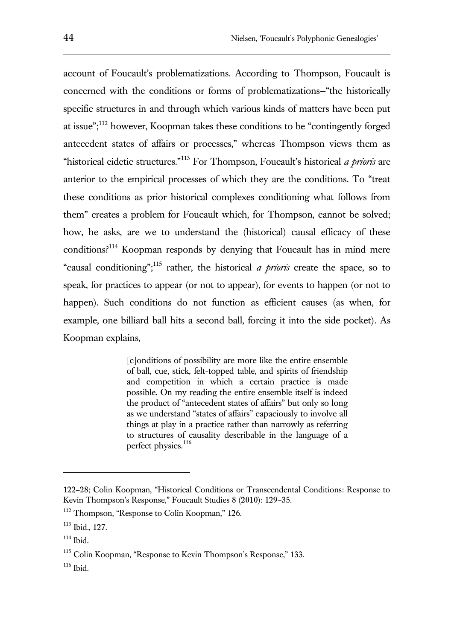account of Foucault's problematizations. According to Thompson, Foucault is concerned with the conditions or forms of problematizations—"the historically specific structures in and through which various kinds of matters have been put at issue";<sup>112</sup> however, Koopman takes these conditions to be "contingently forged antecedent states of affairs or processes," whereas Thompson views them as "historical eidetic structures."<sup>113</sup> For Thompson, Foucault's historical *a prioris* are anterior to the empirical processes of which they are the conditions. To "treat these conditions as prior historical complexes conditioning what follows from them" creates a problem for Foucault which, for Thompson, cannot be solved; how, he asks, are we to understand the (historical) causal efficacy of these conditions?<sup>114</sup> Koopman responds by denying that Foucault has in mind mere "causal conditioning";<sup>115</sup> rather, the historical *a prioris* create the space, so to speak, for practices to appear (or not to appear), for events to happen (or not to happen). Such conditions do not function as efficient causes (as when, for example, one billiard ball hits a second ball, forcing it into the side pocket). As Koopman explains,

> [c]onditions of possibility are more like the entire ensemble of ball, cue, stick, felt-topped table, and spirits of friendship and competition in which a certain practice is made possible. On my reading the entire ensemble itself is indeed the product of "antecedent states of affairs" but only so long as we understand "states of affairs" capaciously to involve all things at play in a practice rather than narrowly as referring to structures of causality describable in the language of a perfect physics. 116

<sup>122</sup>–28; Colin Koopman, "Historical Conditions or Transcendental Conditions: Response to Kevin Thompson's Response," Foucault Studies 8 (2010): 129–35.

<sup>&</sup>lt;sup>112</sup> Thompson, "Response to Colin Koopman," 126.

<sup>113</sup> Ibid., 127.

<sup>114</sup> Ibid.

<sup>115</sup> Colin Koopman, "Response to Kevin Thompson's Response," 133.

 $116$  Ibid.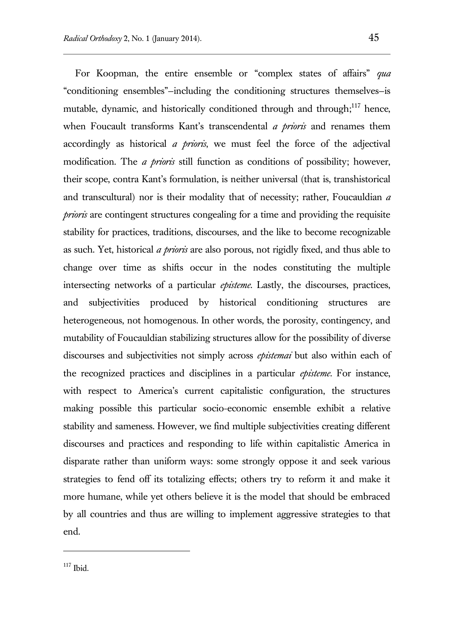For Koopman, the entire ensemble or "complex states of affairs" *qua*  "conditioning ensembles"—including the conditioning structures themselves—is mutable, dynamic, and historically conditioned through and through;<sup>117</sup> hence, when Foucault transforms Kant's transcendental *a prioris* and renames them accordingly as historical *a prioris*, we must feel the force of the adjectival modification. The *a prioris* still function as conditions of possibility; however, their scope, contra Kant's formulation, is neither universal (that is, transhistorical and transcultural) nor is their modality that of necessity; rather, Foucauldian *a prioris* are contingent structures congealing for a time and providing the requisite stability for practices, traditions, discourses, and the like to become recognizable as such. Yet, historical *a prioris* are also porous, not rigidly fixed, and thus able to change over time as shifts occur in the nodes constituting the multiple intersecting networks of a particular *episteme*. Lastly, the discourses, practices, and subjectivities produced by historical conditioning structures are heterogeneous, not homogenous. In other words, the porosity, contingency, and mutability of Foucauldian stabilizing structures allow for the possibility of diverse discourses and subjectivities not simply across *epistemai* but also within each of the recognized practices and disciplines in a particular *episteme*. For instance, with respect to America's current capitalistic configuration, the structures making possible this particular socio-economic ensemble exhibit a relative stability and sameness. However, we find multiple subjectivities creating different discourses and practices and responding to life within capitalistic America in disparate rather than uniform ways: some strongly oppose it and seek various strategies to fend off its totalizing effects; others try to reform it and make it more humane, while yet others believe it is the model that should be embraced by all countries and thus are willing to implement aggressive strategies to that end.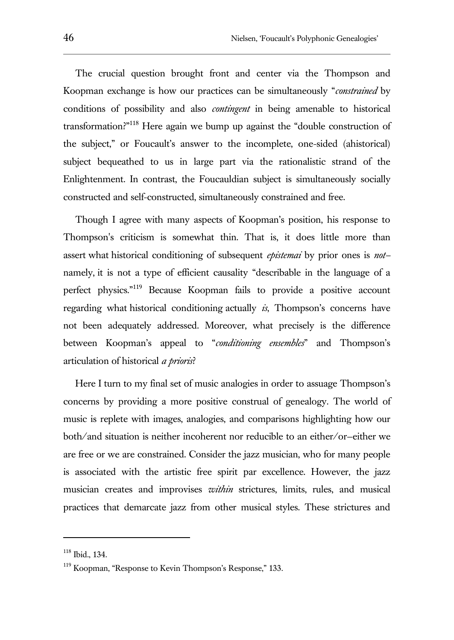The crucial question brought front and center via the Thompson and Koopman exchange is how our practices can be simultaneously "*constrained* by conditions of possibility and also *contingent* in being amenable to historical transformation?"<sup>118</sup> Here again we bump up against the "double construction of the subject," or Foucault's answer to the incomplete, one-sided (ahistorical) subject bequeathed to us in large part via the rationalistic strand of the Enlightenment. In contrast, the Foucauldian subject is simultaneously socially constructed and self-constructed, simultaneously constrained and free.

Though I agree with many aspects of Koopman's position, his response to Thompson's criticism is somewhat thin. That is, it does little more than assert what historical conditioning of subsequent *epistemai* by prior ones is *not* namely, it is not a type of efficient causality "describable in the language of a perfect physics."<sup>119</sup> Because Koopman fails to provide a positive account regarding what historical conditioning actually *is*, Thompson's concerns have not been adequately addressed. Moreover, what precisely is the difference between Koopman's appeal to "*conditioning ensembles*" and Thompson's articulation of historical *a prioris*?

Here I turn to my final set of music analogies in order to assuage Thompson's concerns by providing a more positive construal of genealogy. The world of music is replete with images, analogies, and comparisons highlighting how our both/and situation is neither incoherent nor reducible to an either/or—either we are free or we are constrained. Consider the jazz musician, who for many people is associated with the artistic free spirit par excellence. However, the jazz musician creates and improvises *within* strictures, limits, rules, and musical practices that demarcate jazz from other musical styles. These strictures and

<sup>118</sup> Ibid., 134.

<sup>&</sup>lt;sup>119</sup> Koopman, "Response to Kevin Thompson's Response," 133.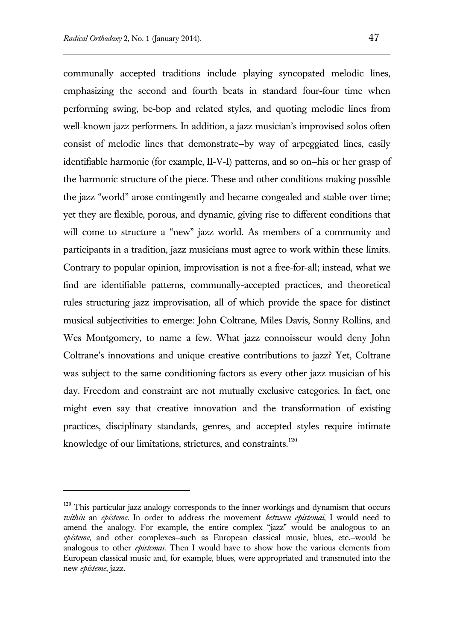l

communally accepted traditions include playing syncopated melodic lines, emphasizing the second and fourth beats in standard four-four time when performing swing, be-bop and related styles, and quoting melodic lines from well-known jazz performers. In addition, a jazz musician's improvised solos often consist of melodic lines that demonstrate—by way of arpeggiated lines, easily identifiable harmonic (for example, II-V-I) patterns, and so on—his or her grasp of the harmonic structure of the piece. These and other conditions making possible the jazz "world" arose contingently and became congealed and stable over time; yet they are flexible, porous, and dynamic, giving rise to different conditions that will come to structure a "new" jazz world. As members of a community and participants in a tradition, jazz musicians must agree to work within these limits. Contrary to popular opinion, improvisation is not a free-for-all; instead, what we find are identifiable patterns, communally-accepted practices, and theoretical rules structuring jazz improvisation, all of which provide the space for distinct musical subjectivities to emerge: John Coltrane, Miles Davis, Sonny Rollins, and Wes Montgomery, to name a few. What jazz connoisseur would deny John Coltrane's innovations and unique creative contributions to jazz? Yet, Coltrane was subject to the same conditioning factors as every other jazz musician of his day. Freedom and constraint are not mutually exclusive categories. In fact, one might even say that creative innovation and the transformation of existing practices, disciplinary standards, genres, and accepted styles require intimate knowledge of our limitations, strictures, and constraints.<sup>120</sup>

<sup>&</sup>lt;sup>120</sup> This particular jazz analogy corresponds to the inner workings and dynamism that occurs *within* an *episteme*. In order to address the movement *between epistemai*, I would need to amend the analogy. For example, the entire complex "jazz" would be analogous to an *episteme*, and other complexes—such as European classical music, blues, etc.—would be analogous to other *epistemai*. Then I would have to show how the various elements from European classical music and, for example, blues, were appropriated and transmuted into the new *episteme*, jazz.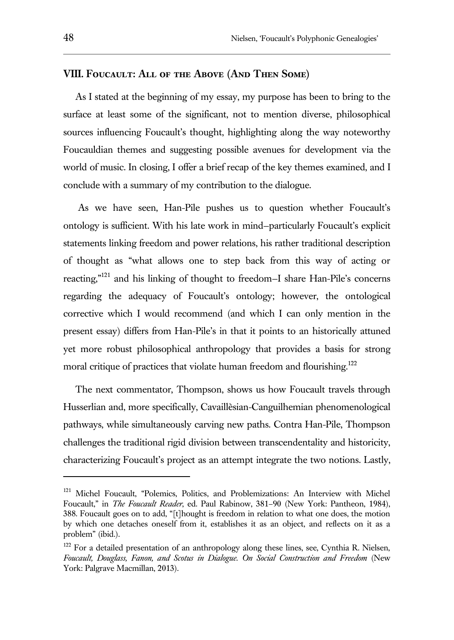## **VIII. Foucault: All of the Above (And Then Some)**

As I stated at the beginning of my essay, my purpose has been to bring to the surface at least some of the significant, not to mention diverse, philosophical sources influencing Foucault's thought, highlighting along the way noteworthy Foucauldian themes and suggesting possible avenues for development via the world of music. In closing, I offer a brief recap of the key themes examined, and I conclude with a summary of my contribution to the dialogue.

As we have seen, Han-Pile pushes us to question whether Foucault's ontology is sufficient. With his late work in mind—particularly Foucault's explicit statements linking freedom and power relations, his rather traditional description of thought as "what allows one to step back from this way of acting or reacting,"<sup>121</sup> and his linking of thought to freedom—I share Han-Pile's concerns regarding the adequacy of Foucault's ontology; however, the ontological corrective which I would recommend (and which I can only mention in the present essay) differs from Han-Pile's in that it points to an historically attuned yet more robust philosophical anthropology that provides a basis for strong moral critique of practices that violate human freedom and flourishing.<sup>122</sup>

The next commentator, Thompson, shows us how Foucault travels through Husserlian and, more specifically, Cavaillèsian-Canguilhemian phenomenological pathways, while simultaneously carving new paths. Contra Han-Pile, Thompson challenges the traditional rigid division between transcendentality and historicity, characterizing Foucault's project as an attempt integrate the two notions. Lastly,

<sup>&</sup>lt;sup>121</sup> Michel Foucault, "Polemics, Politics, and Problemizations: An Interview with Michel Foucault," in *The Foucault Reader*, ed. Paul Rabinow, 381–90 (New York: Pantheon, 1984), 388. Foucault goes on to add, "[t]hought is freedom in relation to what one does, the motion by which one detaches oneself from it, establishes it as an object, and reflects on it as a problem" (ibid.).

<sup>&</sup>lt;sup>122</sup> For a detailed presentation of an anthropology along these lines, see, Cynthia R. Nielsen, *Foucault, Douglass, Fanon, and Scotus in Dialogue. On Social Construction and Freedom* (New York: Palgrave Macmillan, 2013).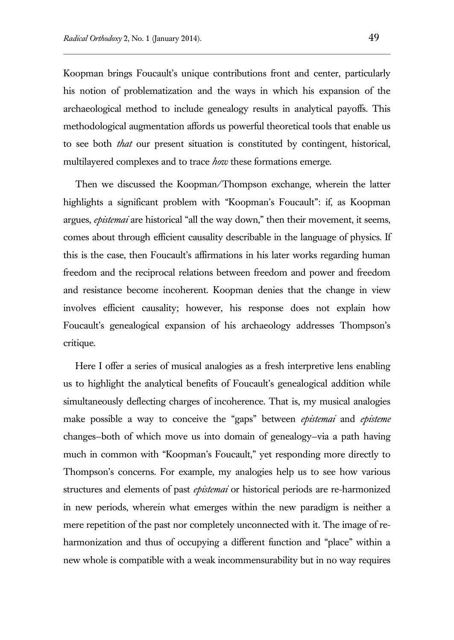Koopman brings Foucault's unique contributions front and center, particularly his notion of problematization and the ways in which his expansion of the archaeological method to include genealogy results in analytical payoffs. This methodological augmentation affords us powerful theoretical tools that enable us to see both *that* our present situation is constituted by contingent, historical, multilayered complexes and to trace *how* these formations emerge.

Then we discussed the Koopman/Thompson exchange, wherein the latter highlights a significant problem with "Koopman's Foucault": if, as Koopman argues, *epistemai* are historical "all the way down," then their movement, it seems, comes about through efficient causality describable in the language of physics. If this is the case, then Foucault's affirmations in his later works regarding human freedom and the reciprocal relations between freedom and power and freedom and resistance become incoherent. Koopman denies that the change in view involves efficient causality; however, his response does not explain how Foucault's genealogical expansion of his archaeology addresses Thompson's critique.

Here I offer a series of musical analogies as a fresh interpretive lens enabling us to highlight the analytical benefits of Foucault's genealogical addition while simultaneously deflecting charges of incoherence. That is, my musical analogies make possible a way to conceive the "gaps" between *epistemai* and *episteme*  changes—both of which move us into domain of genealogy—via a path having much in common with "Koopman's Foucault," yet responding more directly to Thompson's concerns. For example, my analogies help us to see how various structures and elements of past *epistemai* or historical periods are re-harmonized in new periods, wherein what emerges within the new paradigm is neither a mere repetition of the past nor completely unconnected with it. The image of reharmonization and thus of occupying a different function and "place" within a new whole is compatible with a weak incommensurability but in no way requires